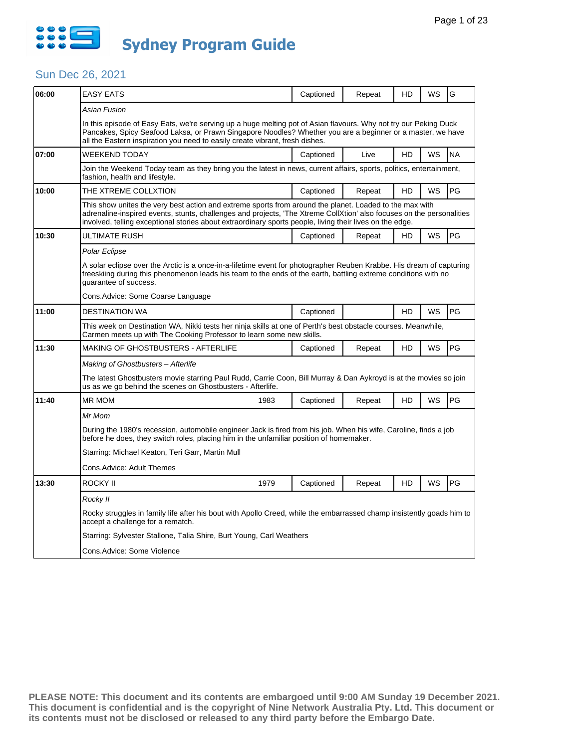

| 06:00 | <b>EASY EATS</b>                                                                                                                                                                                                                                                                                                                             | Captioned | Repeat | HD | WS | G         |  |  |
|-------|----------------------------------------------------------------------------------------------------------------------------------------------------------------------------------------------------------------------------------------------------------------------------------------------------------------------------------------------|-----------|--------|----|----|-----------|--|--|
|       | Asian Fusion                                                                                                                                                                                                                                                                                                                                 |           |        |    |    |           |  |  |
|       | In this episode of Easy Eats, we're serving up a huge melting pot of Asian flavours. Why not try our Peking Duck<br>Pancakes, Spicy Seafood Laksa, or Prawn Singapore Noodles? Whether you are a beginner or a master, we have<br>all the Eastern inspiration you need to easily create vibrant, fresh dishes.                               |           |        |    |    |           |  |  |
| 07:00 | WEEKEND TODAY                                                                                                                                                                                                                                                                                                                                | Captioned | Live   | HD | WS | <b>NA</b> |  |  |
|       | Join the Weekend Today team as they bring you the latest in news, current affairs, sports, politics, entertainment,<br>fashion, health and lifestyle.                                                                                                                                                                                        |           |        |    |    |           |  |  |
| 10:00 | THE XTREME COLLXTION                                                                                                                                                                                                                                                                                                                         | Captioned | Repeat | HD | WS | PG        |  |  |
|       | This show unites the very best action and extreme sports from around the planet. Loaded to the max with<br>adrenaline-inspired events, stunts, challenges and projects, 'The Xtreme CollXtion' also focuses on the personalities<br>involved, telling exceptional stories about extraordinary sports people, living their lives on the edge. |           |        |    |    |           |  |  |
| 10:30 | ULTIMATE RUSH                                                                                                                                                                                                                                                                                                                                | Captioned | Repeat | HD | WS | PG        |  |  |
|       | Polar Eclipse                                                                                                                                                                                                                                                                                                                                |           |        |    |    |           |  |  |
|       | A solar eclipse over the Arctic is a once-in-a-lifetime event for photographer Reuben Krabbe. His dream of capturing<br>freeskiing during this phenomenon leads his team to the ends of the earth, battling extreme conditions with no<br>quarantee of success.                                                                              |           |        |    |    |           |  |  |
|       | Cons.Advice: Some Coarse Language                                                                                                                                                                                                                                                                                                            |           |        |    |    |           |  |  |
| 11:00 | <b>DESTINATION WA</b>                                                                                                                                                                                                                                                                                                                        | Captioned |        | HD | WS | PG        |  |  |
|       | This week on Destination WA, Nikki tests her ninja skills at one of Perth's best obstacle courses. Meanwhile,<br>Carmen meets up with The Cooking Professor to learn some new skills.                                                                                                                                                        |           |        |    |    |           |  |  |
| 11:30 | <b>MAKING OF GHOSTBUSTERS - AFTERLIFE</b>                                                                                                                                                                                                                                                                                                    | Captioned | Repeat | HD | WS | PG        |  |  |
|       | Making of Ghostbusters - Afterlife                                                                                                                                                                                                                                                                                                           |           |        |    |    |           |  |  |
|       | The latest Ghostbusters movie starring Paul Rudd, Carrie Coon, Bill Murray & Dan Aykroyd is at the movies so join<br>us as we go behind the scenes on Ghostbusters - Afterlife.                                                                                                                                                              |           |        |    |    |           |  |  |
| 11:40 | <b>MR MOM</b><br>1983                                                                                                                                                                                                                                                                                                                        | Captioned | Repeat | HD | WS | PG        |  |  |
|       | Mr Mom                                                                                                                                                                                                                                                                                                                                       |           |        |    |    |           |  |  |
|       | During the 1980's recession, automobile engineer Jack is fired from his job. When his wife, Caroline, finds a job<br>before he does, they switch roles, placing him in the unfamiliar position of homemaker.                                                                                                                                 |           |        |    |    |           |  |  |
|       | Starring: Michael Keaton, Teri Garr, Martin Mull                                                                                                                                                                                                                                                                                             |           |        |    |    |           |  |  |
|       | Cons.Advice: Adult Themes                                                                                                                                                                                                                                                                                                                    |           |        |    |    |           |  |  |
| 13:30 | ROCKY II<br>1979                                                                                                                                                                                                                                                                                                                             | Captioned | Repeat | HD | WS | PG        |  |  |
|       | Rocky II                                                                                                                                                                                                                                                                                                                                     |           |        |    |    |           |  |  |
|       | Rocky struggles in family life after his bout with Apollo Creed, while the embarrassed champ insistently goads him to<br>accept a challenge for a rematch.                                                                                                                                                                                   |           |        |    |    |           |  |  |
|       | Starring: Sylvester Stallone, Talia Shire, Burt Young, Carl Weathers                                                                                                                                                                                                                                                                         |           |        |    |    |           |  |  |
|       | Cons.Advice: Some Violence                                                                                                                                                                                                                                                                                                                   |           |        |    |    |           |  |  |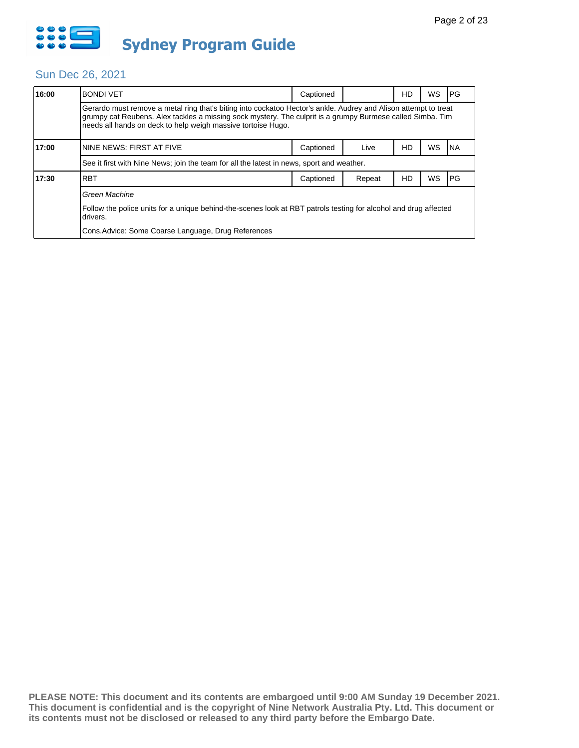

| 16:00 | <b>BONDI VET</b>                                                                                                                                                                                                                                                                              | Captioned |        | HD | WS | l PG      |  |  |
|-------|-----------------------------------------------------------------------------------------------------------------------------------------------------------------------------------------------------------------------------------------------------------------------------------------------|-----------|--------|----|----|-----------|--|--|
|       | Gerardo must remove a metal ring that's biting into cockatoo Hector's ankle. Audrey and Alison attempt to treat<br>grumpy cat Reubens. Alex tackles a missing sock mystery. The culprit is a grumpy Burmese called Simba. Tim<br>needs all hands on deck to help weigh massive tortoise Hugo. |           |        |    |    |           |  |  |
| 17:00 | NINE NEWS: FIRST AT FIVE                                                                                                                                                                                                                                                                      | Captioned | Live   | HD | WS | INA       |  |  |
|       | See it first with Nine News; join the team for all the latest in news, sport and weather.                                                                                                                                                                                                     |           |        |    |    |           |  |  |
| 17:30 | <b>RBT</b>                                                                                                                                                                                                                                                                                    | Captioned | Repeat | HD | WS | <b>PG</b> |  |  |
|       | Green Machine                                                                                                                                                                                                                                                                                 |           |        |    |    |           |  |  |
|       | Follow the police units for a unique behind-the-scenes look at RBT patrols testing for alcohol and drug affected<br>drivers.                                                                                                                                                                  |           |        |    |    |           |  |  |
|       | Cons. Advice: Some Coarse Language, Drug References                                                                                                                                                                                                                                           |           |        |    |    |           |  |  |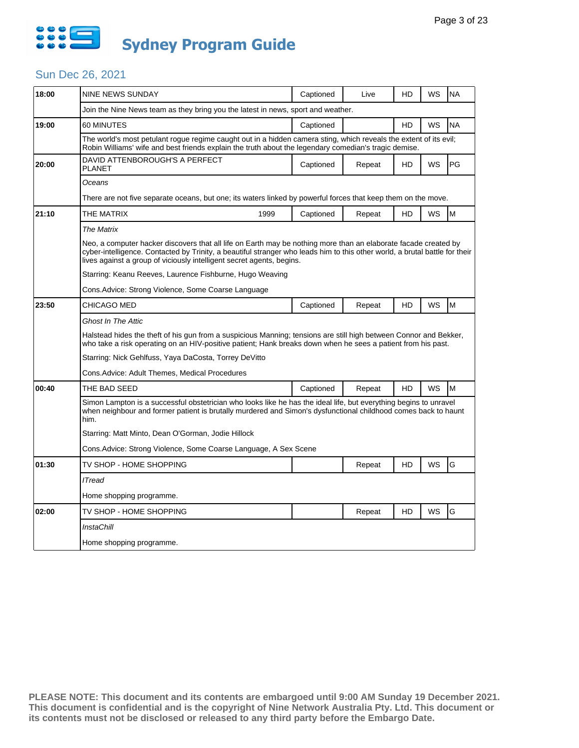

| 18:00 | <b>NINE NEWS SUNDAY</b>                                                                                                                                                                                                                                                                                                 |  | Captioned | Live   | HD | WS        | <b>NA</b> |  |
|-------|-------------------------------------------------------------------------------------------------------------------------------------------------------------------------------------------------------------------------------------------------------------------------------------------------------------------------|--|-----------|--------|----|-----------|-----------|--|
|       | Join the Nine News team as they bring you the latest in news, sport and weather.                                                                                                                                                                                                                                        |  |           |        |    |           |           |  |
| 19:00 | 60 MINUTES                                                                                                                                                                                                                                                                                                              |  | Captioned |        | HD | WS        | <b>NA</b> |  |
|       | The world's most petulant rogue regime caught out in a hidden camera sting, which reveals the extent of its evil;<br>Robin Williams' wife and best friends explain the truth about the legendary comedian's tragic demise.                                                                                              |  |           |        |    |           |           |  |
| 20:00 | DAVID ATTENBOROUGH'S A PERFECT<br><b>PLANET</b>                                                                                                                                                                                                                                                                         |  | Captioned | Repeat | HD | <b>WS</b> | PG        |  |
|       | Oceans                                                                                                                                                                                                                                                                                                                  |  |           |        |    |           |           |  |
|       | There are not five separate oceans, but one; its waters linked by powerful forces that keep them on the move.                                                                                                                                                                                                           |  |           |        |    |           |           |  |
| 21:10 | THE MATRIX<br>1999                                                                                                                                                                                                                                                                                                      |  | Captioned | Repeat | HD | WS        | M         |  |
|       | <b>The Matrix</b>                                                                                                                                                                                                                                                                                                       |  |           |        |    |           |           |  |
|       | Neo, a computer hacker discovers that all life on Earth may be nothing more than an elaborate facade created by<br>cyber-intelligence. Contacted by Trinity, a beautiful stranger who leads him to this other world, a brutal battle for their<br>lives against a group of viciously intelligent secret agents, begins. |  |           |        |    |           |           |  |
|       | Starring: Keanu Reeves, Laurence Fishburne, Hugo Weaving                                                                                                                                                                                                                                                                |  |           |        |    |           |           |  |
|       | Cons Advice: Strong Violence, Some Coarse Language                                                                                                                                                                                                                                                                      |  |           |        |    |           |           |  |
| 23:50 | CHICAGO MED                                                                                                                                                                                                                                                                                                             |  | Captioned | Repeat | HD | WS        | M         |  |
|       | <b>Ghost In The Attic</b>                                                                                                                                                                                                                                                                                               |  |           |        |    |           |           |  |
|       | Halstead hides the theft of his gun from a suspicious Manning; tensions are still high between Connor and Bekker,<br>who take a risk operating on an HIV-positive patient; Hank breaks down when he sees a patient from his past.                                                                                       |  |           |        |    |           |           |  |
|       | Starring: Nick Gehlfuss, Yaya DaCosta, Torrey DeVitto                                                                                                                                                                                                                                                                   |  |           |        |    |           |           |  |
|       | Cons. Advice: Adult Themes, Medical Procedures                                                                                                                                                                                                                                                                          |  |           |        |    |           |           |  |
| 00:40 | THE BAD SEED                                                                                                                                                                                                                                                                                                            |  | Captioned | Repeat | HD | WS        | M         |  |
|       | Simon Lampton is a successful obstetrician who looks like he has the ideal life, but everything begins to unravel<br>when neighbour and former patient is brutally murdered and Simon's dysfunctional childhood comes back to haunt<br>him.                                                                             |  |           |        |    |           |           |  |
|       | Starring: Matt Minto, Dean O'Gorman, Jodie Hillock                                                                                                                                                                                                                                                                      |  |           |        |    |           |           |  |
|       | Cons.Advice: Strong Violence, Some Coarse Language, A Sex Scene                                                                                                                                                                                                                                                         |  |           |        |    |           |           |  |
| 01:30 | TV SHOP - HOME SHOPPING                                                                                                                                                                                                                                                                                                 |  |           | Repeat | HD | WS        | G         |  |
|       | <b>ITread</b>                                                                                                                                                                                                                                                                                                           |  |           |        |    |           |           |  |
|       | Home shopping programme.                                                                                                                                                                                                                                                                                                |  |           |        |    |           |           |  |
| 02:00 | TV SHOP - HOME SHOPPING                                                                                                                                                                                                                                                                                                 |  |           | Repeat | HD | WS        | G         |  |
|       | <b>InstaChill</b>                                                                                                                                                                                                                                                                                                       |  |           |        |    |           |           |  |
|       | Home shopping programme.                                                                                                                                                                                                                                                                                                |  |           |        |    |           |           |  |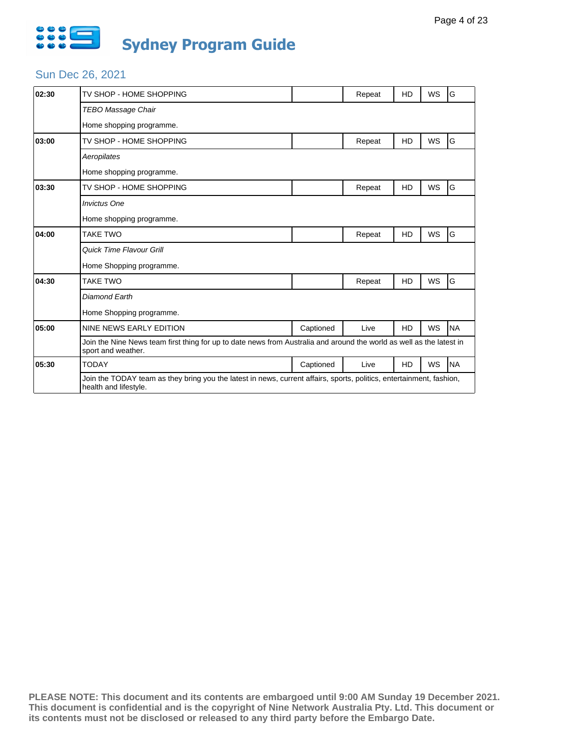

| 02:30 | TV SHOP - HOME SHOPPING                                                                                                                       |           | Repeat | HD        | <b>WS</b> | G         |  |
|-------|-----------------------------------------------------------------------------------------------------------------------------------------------|-----------|--------|-----------|-----------|-----------|--|
|       | <b>TEBO Massage Chair</b>                                                                                                                     |           |        |           |           |           |  |
|       | Home shopping programme.                                                                                                                      |           |        |           |           |           |  |
| 03:00 | TV SHOP - HOME SHOPPING                                                                                                                       |           | Repeat | HD        | <b>WS</b> | G         |  |
|       | Aeropilates                                                                                                                                   |           |        |           |           |           |  |
|       | Home shopping programme.                                                                                                                      |           |        |           |           |           |  |
| 03:30 | TV SHOP - HOME SHOPPING                                                                                                                       |           | Repeat | <b>HD</b> | <b>WS</b> | G         |  |
|       | <b>Invictus One</b>                                                                                                                           |           |        |           |           |           |  |
|       | Home shopping programme.                                                                                                                      |           |        |           |           |           |  |
| 04:00 | <b>TAKE TWO</b>                                                                                                                               |           | Repeat | HD        | WS        | G         |  |
|       | Quick Time Flavour Grill                                                                                                                      |           |        |           |           |           |  |
|       | Home Shopping programme.                                                                                                                      |           |        |           |           |           |  |
| 04:30 | <b>TAKE TWO</b>                                                                                                                               |           | Repeat | HD        | <b>WS</b> | G         |  |
|       | <b>Diamond Earth</b>                                                                                                                          |           |        |           |           |           |  |
|       | Home Shopping programme.                                                                                                                      |           |        |           |           |           |  |
| 05:00 | NINE NEWS EARLY EDITION                                                                                                                       | Captioned | Live   | <b>HD</b> | <b>WS</b> | <b>NA</b> |  |
|       | Join the Nine News team first thing for up to date news from Australia and around the world as well as the latest in<br>sport and weather.    |           |        |           |           |           |  |
| 05:30 | <b>TODAY</b>                                                                                                                                  | Captioned | Live   | HD        | WS        | <b>NA</b> |  |
|       | Join the TODAY team as they bring you the latest in news, current affairs, sports, politics, entertainment, fashion,<br>health and lifestyle. |           |        |           |           |           |  |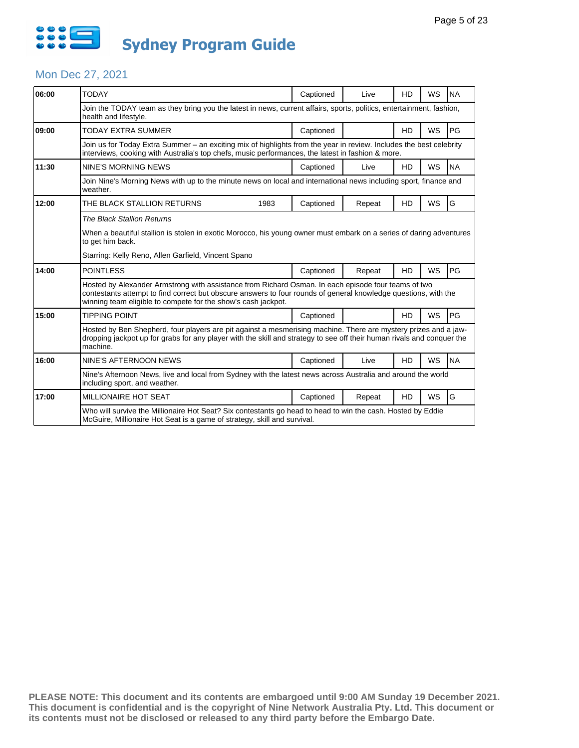

### Mon Dec 27, 2021

| 06:00 | <b>TODAY</b>                                                                                                                                                                                                                                                                            |      | Captioned | Live   | <b>HD</b> | <b>WS</b> | <b>NA</b> |  |  |
|-------|-----------------------------------------------------------------------------------------------------------------------------------------------------------------------------------------------------------------------------------------------------------------------------------------|------|-----------|--------|-----------|-----------|-----------|--|--|
|       | Join the TODAY team as they bring you the latest in news, current affairs, sports, politics, entertainment, fashion,<br>health and lifestyle.                                                                                                                                           |      |           |        |           |           |           |  |  |
| 09:00 | TODAY EXTRA SUMMER                                                                                                                                                                                                                                                                      |      | Captioned |        | <b>HD</b> | <b>WS</b> | PG        |  |  |
|       | Join us for Today Extra Summer – an exciting mix of highlights from the year in review. Includes the best celebrity<br>interviews, cooking with Australia's top chefs, music performances, the latest in fashion & more.                                                                |      |           |        |           |           |           |  |  |
| 11:30 | NINE'S MORNING NEWS                                                                                                                                                                                                                                                                     |      | Captioned | Live   | <b>HD</b> | <b>WS</b> | <b>NA</b> |  |  |
|       | Join Nine's Morning News with up to the minute news on local and international news including sport, finance and<br>weather.                                                                                                                                                            |      |           |        |           |           |           |  |  |
| 12:00 | THE BLACK STALLION RETURNS                                                                                                                                                                                                                                                              | 1983 | Captioned | Repeat | <b>HD</b> | WS        | G         |  |  |
|       | <b>The Black Stallion Returns</b>                                                                                                                                                                                                                                                       |      |           |        |           |           |           |  |  |
|       | When a beautiful stallion is stolen in exotic Morocco, his young owner must embark on a series of daring adventures<br>to get him back.                                                                                                                                                 |      |           |        |           |           |           |  |  |
|       | Starring: Kelly Reno, Allen Garfield, Vincent Spano                                                                                                                                                                                                                                     |      |           |        |           |           |           |  |  |
| 14:00 | <b>POINTLESS</b>                                                                                                                                                                                                                                                                        |      | Captioned | Repeat | <b>HD</b> | <b>WS</b> | PG        |  |  |
|       | Hosted by Alexander Armstrong with assistance from Richard Osman. In each episode four teams of two<br>contestants attempt to find correct but obscure answers to four rounds of general knowledge questions, with the<br>winning team eligible to compete for the show's cash jackpot. |      |           |        |           |           |           |  |  |
| 15:00 | <b>TIPPING POINT</b>                                                                                                                                                                                                                                                                    |      | Captioned |        | <b>HD</b> | <b>WS</b> | PG        |  |  |
|       | Hosted by Ben Shepherd, four players are pit against a mesmerising machine. There are mystery prizes and a jaw-<br>dropping jackpot up for grabs for any player with the skill and strategy to see off their human rivals and conquer the<br>machine.                                   |      |           |        |           |           |           |  |  |
| 16:00 | NINE'S AFTERNOON NEWS                                                                                                                                                                                                                                                                   |      | Captioned | Live   | <b>HD</b> | <b>WS</b> | <b>NA</b> |  |  |
|       | Nine's Afternoon News, live and local from Sydney with the latest news across Australia and around the world<br>including sport, and weather.                                                                                                                                           |      |           |        |           |           |           |  |  |
| 17:00 | <b>MILLIONAIRE HOT SEAT</b>                                                                                                                                                                                                                                                             |      | Captioned | Repeat | <b>HD</b> | <b>WS</b> | G         |  |  |
|       | Who will survive the Millionaire Hot Seat? Six contestants go head to head to win the cash. Hosted by Eddie<br>McGuire, Millionaire Hot Seat is a game of strategy, skill and survival.                                                                                                 |      |           |        |           |           |           |  |  |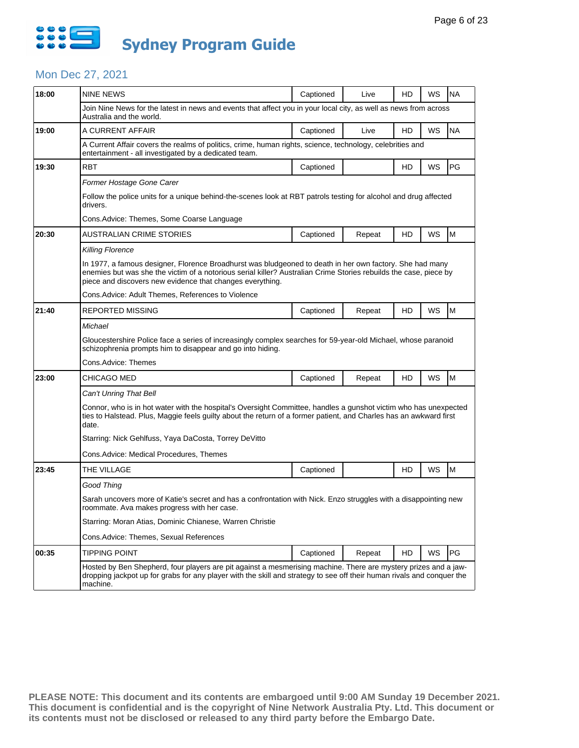

### Mon Dec 27, 2021

| 18:00 | <b>NINE NEWS</b>                                                                                                                                                                                                                                                                           | Captioned | Live   | HD | WS        | <b>NA</b> |  |  |  |
|-------|--------------------------------------------------------------------------------------------------------------------------------------------------------------------------------------------------------------------------------------------------------------------------------------------|-----------|--------|----|-----------|-----------|--|--|--|
|       | Join Nine News for the latest in news and events that affect you in your local city, as well as news from across<br>Australia and the world.                                                                                                                                               |           |        |    |           |           |  |  |  |
| 19:00 | A CURRENT AFFAIR                                                                                                                                                                                                                                                                           | Captioned | Live   | HD | WS        | <b>NA</b> |  |  |  |
|       | A Current Affair covers the realms of politics, crime, human rights, science, technology, celebrities and<br>entertainment - all investigated by a dedicated team.                                                                                                                         |           |        |    |           |           |  |  |  |
| 19:30 | <b>RBT</b>                                                                                                                                                                                                                                                                                 | Captioned |        | HD | WS        | <b>PG</b> |  |  |  |
|       | Former Hostage Gone Carer                                                                                                                                                                                                                                                                  |           |        |    |           |           |  |  |  |
|       | Follow the police units for a unique behind-the-scenes look at RBT patrols testing for alcohol and drug affected<br>drivers.                                                                                                                                                               |           |        |    |           |           |  |  |  |
|       | Cons. Advice: Themes, Some Coarse Language                                                                                                                                                                                                                                                 |           |        |    |           |           |  |  |  |
| 20:30 | AUSTRALIAN CRIME STORIES                                                                                                                                                                                                                                                                   | Captioned | Repeat | HD | WS        | M         |  |  |  |
|       | Killing Florence                                                                                                                                                                                                                                                                           |           |        |    |           |           |  |  |  |
|       | In 1977, a famous designer, Florence Broadhurst was bludgeoned to death in her own factory. She had many<br>enemies but was she the victim of a notorious serial killer? Australian Crime Stories rebuilds the case, piece by<br>piece and discovers new evidence that changes everything. |           |        |    |           |           |  |  |  |
|       | Cons. Advice: Adult Themes, References to Violence                                                                                                                                                                                                                                         |           |        |    |           |           |  |  |  |
| 21:40 | REPORTED MISSING                                                                                                                                                                                                                                                                           | Captioned | Repeat | HD | WS        | M         |  |  |  |
|       | Michael                                                                                                                                                                                                                                                                                    |           |        |    |           |           |  |  |  |
|       | Gloucestershire Police face a series of increasingly complex searches for 59-year-old Michael, whose paranoid<br>schizophrenia prompts him to disappear and go into hiding.                                                                                                                |           |        |    |           |           |  |  |  |
|       | Cons.Advice: Themes                                                                                                                                                                                                                                                                        |           |        |    |           |           |  |  |  |
| 23:00 | CHICAGO MED                                                                                                                                                                                                                                                                                | Captioned | Repeat | HD | WS        | M         |  |  |  |
|       | Can't Unring That Bell                                                                                                                                                                                                                                                                     |           |        |    |           |           |  |  |  |
|       | Connor, who is in hot water with the hospital's Oversight Committee, handles a gunshot victim who has unexpected<br>ties to Halstead. Plus, Maggie feels guilty about the return of a former patient, and Charles has an awkward first<br>date.                                            |           |        |    |           |           |  |  |  |
|       | Starring: Nick Gehlfuss, Yaya DaCosta, Torrey DeVitto                                                                                                                                                                                                                                      |           |        |    |           |           |  |  |  |
|       | Cons.Advice: Medical Procedures, Themes                                                                                                                                                                                                                                                    |           |        |    |           |           |  |  |  |
| 23:45 | THE VILLAGE                                                                                                                                                                                                                                                                                | Captioned |        | HD | WS        | M         |  |  |  |
|       | Good Thing                                                                                                                                                                                                                                                                                 |           |        |    |           |           |  |  |  |
|       | Sarah uncovers more of Katie's secret and has a confrontation with Nick. Enzo struggles with a disappointing new<br>roommate. Ava makes progress with her case.                                                                                                                            |           |        |    |           |           |  |  |  |
|       | Starring: Moran Atias, Dominic Chianese, Warren Christie                                                                                                                                                                                                                                   |           |        |    |           |           |  |  |  |
|       | Cons.Advice: Themes, Sexual References                                                                                                                                                                                                                                                     |           |        |    |           |           |  |  |  |
| 00:35 | <b>TIPPING POINT</b>                                                                                                                                                                                                                                                                       | Captioned | Repeat | HD | <b>WS</b> | PG        |  |  |  |
|       | Hosted by Ben Shepherd, four players are pit against a mesmerising machine. There are mystery prizes and a jaw-<br>dropping jackpot up for grabs for any player with the skill and strategy to see off their human rivals and conquer the<br>machine.                                      |           |        |    |           |           |  |  |  |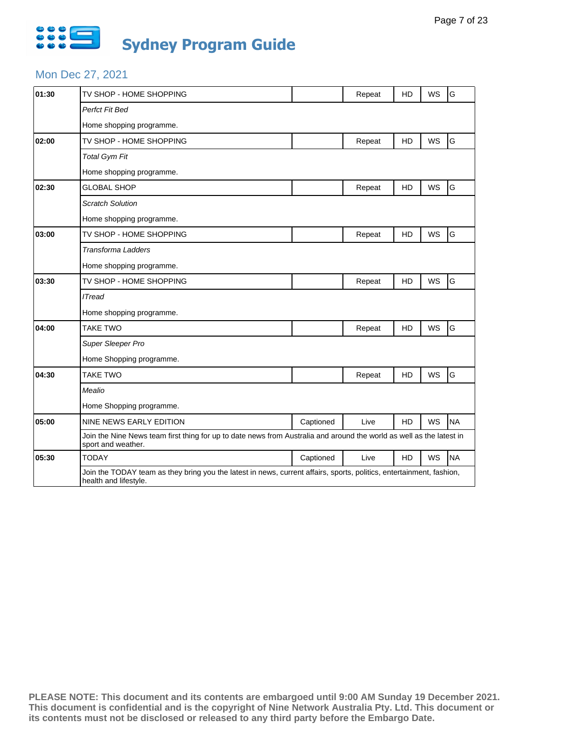

### Mon Dec 27, 2021

| 01:30 | TV SHOP - HOME SHOPPING                                                                                                                       |           | Repeat | <b>HD</b> | <b>WS</b> | G         |  |  |
|-------|-----------------------------------------------------------------------------------------------------------------------------------------------|-----------|--------|-----------|-----------|-----------|--|--|
|       | Perfct Fit Bed                                                                                                                                |           |        |           |           |           |  |  |
|       | Home shopping programme.                                                                                                                      |           |        |           |           |           |  |  |
| 02:00 | TV SHOP - HOME SHOPPING                                                                                                                       |           | Repeat | HD        | WS        | G         |  |  |
|       | <b>Total Gym Fit</b>                                                                                                                          |           |        |           |           |           |  |  |
|       | Home shopping programme.                                                                                                                      |           |        |           |           |           |  |  |
| 02:30 | <b>GLOBAL SHOP</b>                                                                                                                            |           | Repeat | HD        | <b>WS</b> | G         |  |  |
|       | <b>Scratch Solution</b>                                                                                                                       |           |        |           |           |           |  |  |
|       | Home shopping programme.                                                                                                                      |           |        |           |           |           |  |  |
| 03:00 | TV SHOP - HOME SHOPPING                                                                                                                       |           | Repeat | HD        | WS        | G         |  |  |
|       | <b>Transforma Ladders</b>                                                                                                                     |           |        |           |           |           |  |  |
|       | Home shopping programme.                                                                                                                      |           |        |           |           |           |  |  |
| 03:30 | TV SHOP - HOME SHOPPING                                                                                                                       |           | Repeat | HD        | <b>WS</b> | G         |  |  |
|       | <b>ITread</b>                                                                                                                                 |           |        |           |           |           |  |  |
|       | Home shopping programme.                                                                                                                      |           |        |           |           |           |  |  |
| 04:00 | <b>TAKE TWO</b>                                                                                                                               |           | Repeat | HD        | WS        | G         |  |  |
|       | Super Sleeper Pro                                                                                                                             |           |        |           |           |           |  |  |
|       | Home Shopping programme.                                                                                                                      |           |        |           |           |           |  |  |
| 04:30 | <b>TAKE TWO</b>                                                                                                                               |           | Repeat | HD        | <b>WS</b> | G         |  |  |
|       | Mealio                                                                                                                                        |           |        |           |           |           |  |  |
|       | Home Shopping programme.                                                                                                                      |           |        |           |           |           |  |  |
| 05:00 | <b>NINE NEWS EARLY EDITION</b>                                                                                                                | Captioned | Live   | HD        | WS        | <b>NA</b> |  |  |
|       | Join the Nine News team first thing for up to date news from Australia and around the world as well as the latest in<br>sport and weather.    |           |        |           |           |           |  |  |
| 05:30 | <b>TODAY</b>                                                                                                                                  | Captioned | Live   | <b>HD</b> | <b>WS</b> | <b>NA</b> |  |  |
|       | Join the TODAY team as they bring you the latest in news, current affairs, sports, politics, entertainment, fashion,<br>health and lifestyle. |           |        |           |           |           |  |  |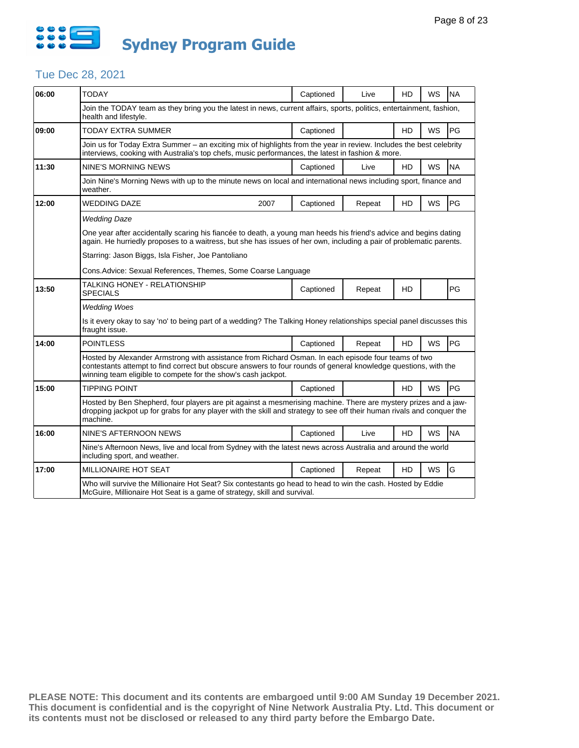

| 06:00 | <b>TODAY</b>                                                                                                                                                                                                                                                                            | Captioned | Live   | HD        | WS        | <b>NA</b> |  |  |  |
|-------|-----------------------------------------------------------------------------------------------------------------------------------------------------------------------------------------------------------------------------------------------------------------------------------------|-----------|--------|-----------|-----------|-----------|--|--|--|
|       | Join the TODAY team as they bring you the latest in news, current affairs, sports, politics, entertainment, fashion,<br>health and lifestyle.                                                                                                                                           |           |        |           |           |           |  |  |  |
| 09:00 | TODAY EXTRA SUMMER                                                                                                                                                                                                                                                                      | Captioned |        | HD        | <b>WS</b> | PG        |  |  |  |
|       | Join us for Today Extra Summer - an exciting mix of highlights from the year in review. Includes the best celebrity<br>interviews, cooking with Australia's top chefs, music performances, the latest in fashion & more.                                                                |           |        |           |           |           |  |  |  |
| 11:30 | <b>NINE'S MORNING NEWS</b>                                                                                                                                                                                                                                                              | Captioned | Live   | HD        | WS        | <b>NA</b> |  |  |  |
|       | Join Nine's Morning News with up to the minute news on local and international news including sport, finance and<br>weather.                                                                                                                                                            |           |        |           |           |           |  |  |  |
| 12:00 | <b>WEDDING DAZE</b><br>2007                                                                                                                                                                                                                                                             | Captioned | Repeat | <b>HD</b> | <b>WS</b> | PG        |  |  |  |
|       | <b>Wedding Daze</b>                                                                                                                                                                                                                                                                     |           |        |           |           |           |  |  |  |
|       | One year after accidentally scaring his fiancée to death, a young man heeds his friend's advice and begins dating<br>again. He hurriedly proposes to a waitress, but she has issues of her own, including a pair of problematic parents.                                                |           |        |           |           |           |  |  |  |
|       | Starring: Jason Biggs, Isla Fisher, Joe Pantoliano                                                                                                                                                                                                                                      |           |        |           |           |           |  |  |  |
|       | Cons. Advice: Sexual References, Themes, Some Coarse Language                                                                                                                                                                                                                           |           |        |           |           |           |  |  |  |
| 13:50 | TALKING HONEY - RELATIONSHIP<br><b>SPECIALS</b>                                                                                                                                                                                                                                         | Captioned | Repeat | HD        |           | PG        |  |  |  |
|       | <b>Wedding Woes</b>                                                                                                                                                                                                                                                                     |           |        |           |           |           |  |  |  |
|       | Is it every okay to say 'no' to being part of a wedding? The Talking Honey relationships special panel discusses this<br>fraught issue.                                                                                                                                                 |           |        |           |           |           |  |  |  |
| 14:00 | <b>POINTLESS</b>                                                                                                                                                                                                                                                                        | Captioned | Repeat | HD        | <b>WS</b> | PG        |  |  |  |
|       | Hosted by Alexander Armstrong with assistance from Richard Osman. In each episode four teams of two<br>contestants attempt to find correct but obscure answers to four rounds of general knowledge questions, with the<br>winning team eligible to compete for the show's cash jackpot. |           |        |           |           |           |  |  |  |
| 15:00 | TIPPING POINT                                                                                                                                                                                                                                                                           | Captioned |        | HD        | WS        | PG.       |  |  |  |
|       | Hosted by Ben Shepherd, four players are pit against a mesmerising machine. There are mystery prizes and a jaw-<br>dropping jackpot up for grabs for any player with the skill and strategy to see off their human rivals and conquer the<br>machine.                                   |           |        |           |           |           |  |  |  |
| 16:00 | NINE'S AFTERNOON NEWS                                                                                                                                                                                                                                                                   | Captioned | Live   | HD        | WS        | <b>NA</b> |  |  |  |
|       | Nine's Afternoon News, live and local from Sydney with the latest news across Australia and around the world<br>including sport, and weather.                                                                                                                                           |           |        |           |           |           |  |  |  |
| 17:00 | MILLIONAIRE HOT SEAT                                                                                                                                                                                                                                                                    | Captioned | Repeat | <b>HD</b> | <b>WS</b> | G         |  |  |  |
|       | Who will survive the Millionaire Hot Seat? Six contestants go head to head to win the cash. Hosted by Eddie<br>McGuire, Millionaire Hot Seat is a game of strategy, skill and survival.                                                                                                 |           |        |           |           |           |  |  |  |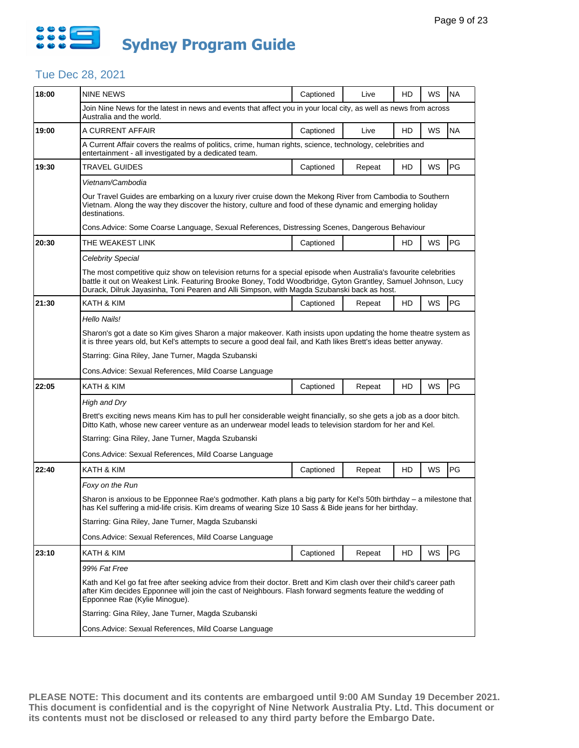

| 18:00 | NINE NEWS                                                                                                                                                                                                                                                                                                                       | Captioned | Live   | HD | WS | <b>NA</b> |  |  |  |
|-------|---------------------------------------------------------------------------------------------------------------------------------------------------------------------------------------------------------------------------------------------------------------------------------------------------------------------------------|-----------|--------|----|----|-----------|--|--|--|
|       | Join Nine News for the latest in news and events that affect you in your local city, as well as news from across<br>Australia and the world.                                                                                                                                                                                    |           |        |    |    |           |  |  |  |
| 19:00 | A CURRENT AFFAIR                                                                                                                                                                                                                                                                                                                | Captioned | Live   | HD | WS | <b>NA</b> |  |  |  |
|       | A Current Affair covers the realms of politics, crime, human rights, science, technology, celebrities and<br>entertainment - all investigated by a dedicated team.                                                                                                                                                              |           |        |    |    |           |  |  |  |
| 19:30 | TRAVEL GUIDES                                                                                                                                                                                                                                                                                                                   | Captioned | Repeat | HD | WS | PG        |  |  |  |
|       | Vietnam/Cambodia                                                                                                                                                                                                                                                                                                                |           |        |    |    |           |  |  |  |
|       | Our Travel Guides are embarking on a luxury river cruise down the Mekong River from Cambodia to Southern<br>Vietnam. Along the way they discover the history, culture and food of these dynamic and emerging holiday<br>destinations.                                                                                           |           |        |    |    |           |  |  |  |
|       | Cons.Advice: Some Coarse Language, Sexual References, Distressing Scenes, Dangerous Behaviour                                                                                                                                                                                                                                   |           |        |    |    |           |  |  |  |
| 20:30 | THE WEAKEST LINK                                                                                                                                                                                                                                                                                                                | Captioned |        | HD | WS | PG        |  |  |  |
|       | Celebrity Special                                                                                                                                                                                                                                                                                                               |           |        |    |    |           |  |  |  |
|       | The most competitive quiz show on television returns for a special episode when Australia's favourite celebrities<br>battle it out on Weakest Link. Featuring Brooke Boney, Todd Woodbridge, Gyton Grantley, Samuel Johnson, Lucy<br>Durack, Dilruk Jayasinha, Toni Pearen and Alli Simpson, with Magda Szubanski back as host. |           |        |    |    |           |  |  |  |
| 21:30 | KATH & KIM                                                                                                                                                                                                                                                                                                                      | Captioned | Repeat | HD | WS | PG        |  |  |  |
|       | Hello Nails!                                                                                                                                                                                                                                                                                                                    |           |        |    |    |           |  |  |  |
|       | Sharon's got a date so Kim gives Sharon a major makeover. Kath insists upon updating the home theatre system as<br>it is three years old, but Kel's attempts to secure a good deal fail, and Kath likes Brett's ideas better anyway.                                                                                            |           |        |    |    |           |  |  |  |
|       | Starring: Gina Riley, Jane Turner, Magda Szubanski                                                                                                                                                                                                                                                                              |           |        |    |    |           |  |  |  |
|       | Cons.Advice: Sexual References, Mild Coarse Language                                                                                                                                                                                                                                                                            |           |        |    |    |           |  |  |  |
| 22:05 | KATH & KIM                                                                                                                                                                                                                                                                                                                      | Captioned | Repeat | HD | WS | PG        |  |  |  |
|       | High and Dry                                                                                                                                                                                                                                                                                                                    |           |        |    |    |           |  |  |  |
|       | Brett's exciting news means Kim has to pull her considerable weight financially, so she gets a job as a door bitch.<br>Ditto Kath, whose new career venture as an underwear model leads to television stardom for her and Kel.                                                                                                  |           |        |    |    |           |  |  |  |
|       | Starring: Gina Riley, Jane Turner, Magda Szubanski                                                                                                                                                                                                                                                                              |           |        |    |    |           |  |  |  |
|       |                                                                                                                                                                                                                                                                                                                                 |           |        |    |    |           |  |  |  |
|       | Cons.Advice: Sexual References, Mild Coarse Language                                                                                                                                                                                                                                                                            |           |        |    |    |           |  |  |  |
| 22:40 | KATH & KIM                                                                                                                                                                                                                                                                                                                      | Captioned | Repeat | HD | WS | PG        |  |  |  |
|       | Foxy on the Run                                                                                                                                                                                                                                                                                                                 |           |        |    |    |           |  |  |  |
|       | Sharon is anxious to be Epponnee Rae's godmother. Kath plans a big party for Kel's 50th birthday - a milestone that<br>has Kel suffering a mid-life crisis. Kim dreams of wearing Size 10 Sass & Bide jeans for her birthday.                                                                                                   |           |        |    |    |           |  |  |  |
|       | Starring: Gina Riley, Jane Turner, Magda Szubanski                                                                                                                                                                                                                                                                              |           |        |    |    |           |  |  |  |
|       | Cons. Advice: Sexual References, Mild Coarse Language                                                                                                                                                                                                                                                                           |           |        |    |    |           |  |  |  |
| 23:10 | KATH & KIM                                                                                                                                                                                                                                                                                                                      | Captioned | Repeat | HD | WS | PG        |  |  |  |
|       | 99% Fat Free                                                                                                                                                                                                                                                                                                                    |           |        |    |    |           |  |  |  |
|       | Kath and Kel go fat free after seeking advice from their doctor. Brett and Kim clash over their child's career path<br>after Kim decides Epponnee will join the cast of Neighbours. Flash forward segments feature the wedding of<br>Epponnee Rae (Kylie Minogue).                                                              |           |        |    |    |           |  |  |  |
|       | Starring: Gina Riley, Jane Turner, Magda Szubanski                                                                                                                                                                                                                                                                              |           |        |    |    |           |  |  |  |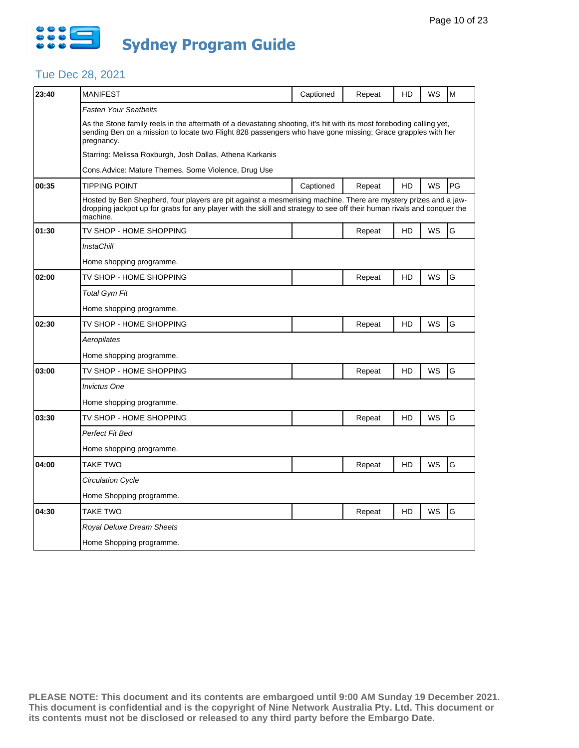

| 23:40 | <b>MANIFEST</b>                                                                                                                                                                                                                                       | Captioned | Repeat | HD | WS        | M  |  |
|-------|-------------------------------------------------------------------------------------------------------------------------------------------------------------------------------------------------------------------------------------------------------|-----------|--------|----|-----------|----|--|
|       | <b>Fasten Your Seatbelts</b>                                                                                                                                                                                                                          |           |        |    |           |    |  |
|       | As the Stone family reels in the aftermath of a devastating shooting, it's hit with its most foreboding calling yet,<br>sending Ben on a mission to locate two Flight 828 passengers who have gone missing; Grace grapples with her<br>pregnancy.     |           |        |    |           |    |  |
|       | Starring: Melissa Roxburgh, Josh Dallas, Athena Karkanis                                                                                                                                                                                              |           |        |    |           |    |  |
|       | Cons.Advice: Mature Themes, Some Violence, Drug Use                                                                                                                                                                                                   |           |        |    |           |    |  |
| 00:35 | <b>TIPPING POINT</b>                                                                                                                                                                                                                                  | Captioned | Repeat | HD | WS        | PG |  |
|       | Hosted by Ben Shepherd, four players are pit against a mesmerising machine. There are mystery prizes and a jaw-<br>dropping jackpot up for grabs for any player with the skill and strategy to see off their human rivals and conquer the<br>machine. |           |        |    |           |    |  |
| 01:30 | TV SHOP - HOME SHOPPING                                                                                                                                                                                                                               |           | Repeat | HD | WS        | G  |  |
|       | InstaChill                                                                                                                                                                                                                                            |           |        |    |           |    |  |
|       | Home shopping programme.                                                                                                                                                                                                                              |           |        |    |           |    |  |
| 02:00 | TV SHOP - HOME SHOPPING                                                                                                                                                                                                                               |           | Repeat | HD | WS        | G  |  |
|       | <b>Total Gym Fit</b>                                                                                                                                                                                                                                  |           |        |    |           |    |  |
|       | Home shopping programme.                                                                                                                                                                                                                              |           |        |    |           |    |  |
| 02:30 | TV SHOP - HOME SHOPPING                                                                                                                                                                                                                               |           | Repeat | HD | WS        | G  |  |
|       | Aeropilates                                                                                                                                                                                                                                           |           |        |    |           |    |  |
|       | Home shopping programme.                                                                                                                                                                                                                              |           |        |    |           |    |  |
| 03:00 | TV SHOP - HOME SHOPPING                                                                                                                                                                                                                               |           | Repeat | HD | WS        | G  |  |
|       | <b>Invictus One</b>                                                                                                                                                                                                                                   |           |        |    |           |    |  |
|       | Home shopping programme.                                                                                                                                                                                                                              |           |        |    |           |    |  |
| 03:30 | TV SHOP - HOME SHOPPING                                                                                                                                                                                                                               |           | Repeat | HD | WS        | G  |  |
|       | Perfect Fit Bed                                                                                                                                                                                                                                       |           |        |    |           |    |  |
|       | Home shopping programme.                                                                                                                                                                                                                              |           |        |    |           |    |  |
| 04:00 | TAKE TWO                                                                                                                                                                                                                                              |           | Repeat | HD | <b>WS</b> | G  |  |
|       | <b>Circulation Cycle</b>                                                                                                                                                                                                                              |           |        |    |           |    |  |
|       | Home Shopping programme.                                                                                                                                                                                                                              |           |        |    |           |    |  |
| 04:30 | TAKE TWO                                                                                                                                                                                                                                              |           | Repeat | HD | WS        | G  |  |
|       | Royal Deluxe Dream Sheets                                                                                                                                                                                                                             |           |        |    |           |    |  |
|       | Home Shopping programme.                                                                                                                                                                                                                              |           |        |    |           |    |  |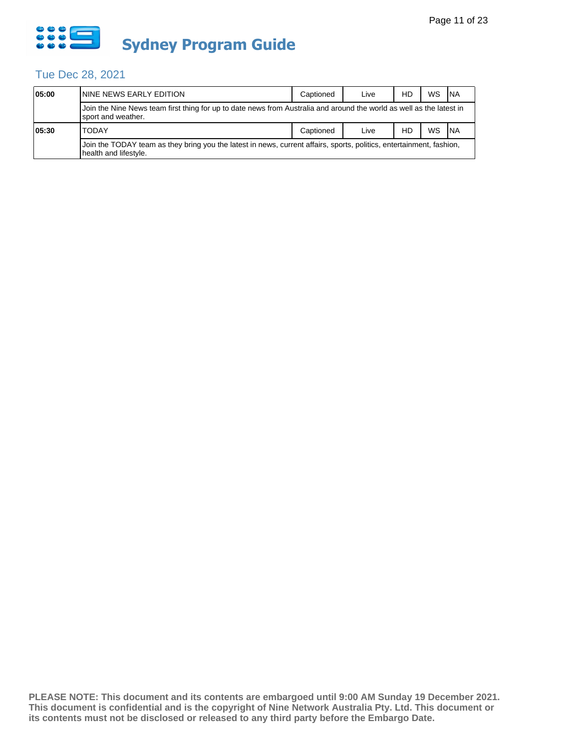

| 05:00 | ININE NEWS EARLY EDITION                                                                                                                      | Captioned | Live | HD | WS | <b>INA</b> |  |  |
|-------|-----------------------------------------------------------------------------------------------------------------------------------------------|-----------|------|----|----|------------|--|--|
|       | Join the Nine News team first thing for up to date news from Australia and around the world as well as the latest in<br>sport and weather.    |           |      |    |    |            |  |  |
| 05:30 | <b>TODAY</b>                                                                                                                                  | Captioned | Live | HD | WS | <b>INA</b> |  |  |
|       | Join the TODAY team as they bring you the latest in news, current affairs, sports, politics, entertainment, fashion,<br>health and lifestyle. |           |      |    |    |            |  |  |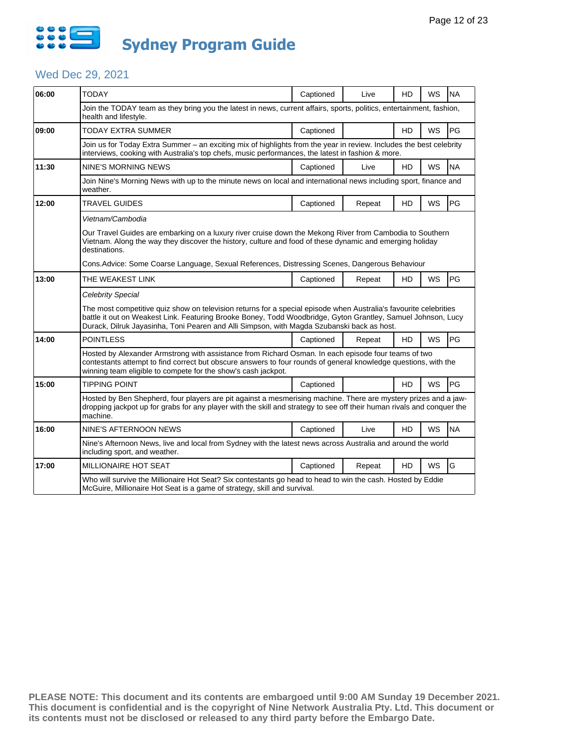

## Wed Dec 29, 2021

| 06:00 | <b>TODAY</b>                                                                                                                                                                                                                                                                                                                    | Captioned | Live                                                                                                        | HD        | WS        | <b>NA</b> |  |  |  |
|-------|---------------------------------------------------------------------------------------------------------------------------------------------------------------------------------------------------------------------------------------------------------------------------------------------------------------------------------|-----------|-------------------------------------------------------------------------------------------------------------|-----------|-----------|-----------|--|--|--|
|       | Join the TODAY team as they bring you the latest in news, current affairs, sports, politics, entertainment, fashion,<br>health and lifestyle.                                                                                                                                                                                   |           |                                                                                                             |           |           |           |  |  |  |
| 09:00 | TODAY EXTRA SUMMER                                                                                                                                                                                                                                                                                                              | Captioned |                                                                                                             | HD        | WS        | PG        |  |  |  |
|       | Join us for Today Extra Summer - an exciting mix of highlights from the year in review. Includes the best celebrity<br>interviews, cooking with Australia's top chefs, music performances, the latest in fashion & more.                                                                                                        |           |                                                                                                             |           |           |           |  |  |  |
| 11:30 | NINE'S MORNING NEWS                                                                                                                                                                                                                                                                                                             | Captioned | Live                                                                                                        | HD.       | WS        | <b>NA</b> |  |  |  |
|       | Join Nine's Morning News with up to the minute news on local and international news including sport, finance and<br>weather.                                                                                                                                                                                                    |           |                                                                                                             |           |           |           |  |  |  |
| 12:00 | <b>TRAVEL GUIDES</b>                                                                                                                                                                                                                                                                                                            | Captioned | Repeat                                                                                                      | HD        | WS        | PG        |  |  |  |
|       | Vietnam/Cambodia                                                                                                                                                                                                                                                                                                                |           |                                                                                                             |           |           |           |  |  |  |
|       | Our Travel Guides are embarking on a luxury river cruise down the Mekong River from Cambodia to Southern<br>Vietnam. Along the way they discover the history, culture and food of these dynamic and emerging holiday<br>destinations.                                                                                           |           |                                                                                                             |           |           |           |  |  |  |
|       | Cons. Advice: Some Coarse Language, Sexual References, Distressing Scenes, Dangerous Behaviour                                                                                                                                                                                                                                  |           |                                                                                                             |           |           |           |  |  |  |
| 13:00 | THE WEAKEST LINK                                                                                                                                                                                                                                                                                                                | Captioned | Repeat                                                                                                      | HD        | WS        | PG        |  |  |  |
|       | <b>Celebrity Special</b>                                                                                                                                                                                                                                                                                                        |           |                                                                                                             |           |           |           |  |  |  |
|       | The most competitive quiz show on television returns for a special episode when Australia's favourite celebrities<br>battle it out on Weakest Link. Featuring Brooke Boney, Todd Woodbridge, Gyton Grantley, Samuel Johnson, Lucy<br>Durack, Dilruk Jayasinha, Toni Pearen and Alli Simpson, with Magda Szubanski back as host. |           |                                                                                                             |           |           |           |  |  |  |
| 14:00 | <b>POINTLESS</b>                                                                                                                                                                                                                                                                                                                | Captioned | Repeat                                                                                                      | <b>HD</b> | <b>WS</b> | PG        |  |  |  |
|       | Hosted by Alexander Armstrong with assistance from Richard Osman. In each episode four teams of two<br>contestants attempt to find correct but obscure answers to four rounds of general knowledge questions, with the<br>winning team eligible to compete for the show's cash jackpot.                                         |           |                                                                                                             |           |           |           |  |  |  |
| 15:00 | <b>TIPPING POINT</b>                                                                                                                                                                                                                                                                                                            | Captioned |                                                                                                             | HD        | WS        | PG        |  |  |  |
|       | Hosted by Ben Shepherd, four players are pit against a mesmerising machine. There are mystery prizes and a jaw-<br>dropping jackpot up for grabs for any player with the skill and strategy to see off their human rivals and conquer the<br>machine.                                                                           |           |                                                                                                             |           |           |           |  |  |  |
| 16:00 | NINE'S AFTERNOON NEWS                                                                                                                                                                                                                                                                                                           | Captioned | Live                                                                                                        | HD        | <b>WS</b> | <b>NA</b> |  |  |  |
|       | Nine's Afternoon News, live and local from Sydney with the latest news across Australia and around the world<br>including sport, and weather.                                                                                                                                                                                   |           |                                                                                                             |           |           |           |  |  |  |
| 17:00 | MILLIONAIRE HOT SEAT                                                                                                                                                                                                                                                                                                            | Captioned | Repeat                                                                                                      | <b>HD</b> | <b>WS</b> | G         |  |  |  |
|       | McGuire, Millionaire Hot Seat is a game of strategy, skill and survival.                                                                                                                                                                                                                                                        |           | Who will survive the Millionaire Hot Seat? Six contestants go head to head to win the cash. Hosted by Eddie |           |           |           |  |  |  |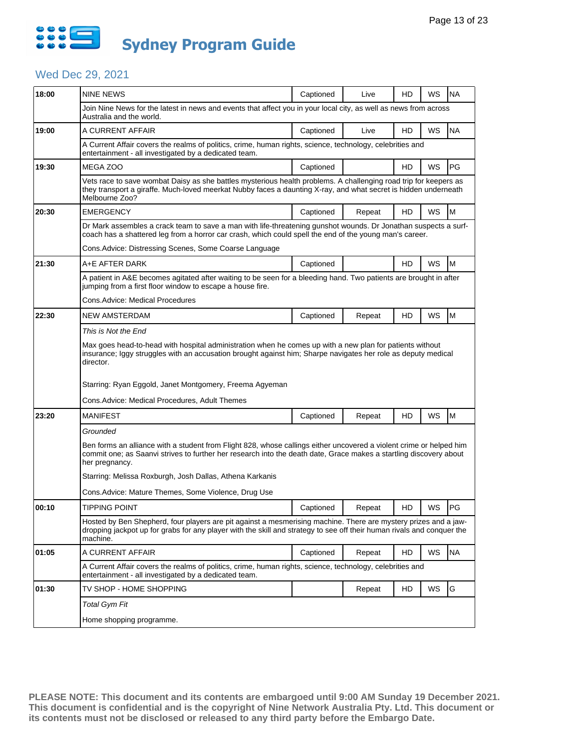

# Wed Dec 29, 2021

| 18:00 | <b>NINE NEWS</b>                                                                                                                                                                                                                                            | Captioned | Live   | HD | WS | <b>NA</b> |  |  |
|-------|-------------------------------------------------------------------------------------------------------------------------------------------------------------------------------------------------------------------------------------------------------------|-----------|--------|----|----|-----------|--|--|
|       | Join Nine News for the latest in news and events that affect you in your local city, as well as news from across<br>Australia and the world.                                                                                                                |           |        |    |    |           |  |  |
| 19:00 | A CURRENT AFFAIR                                                                                                                                                                                                                                            | Captioned | Live   | HD | WS | <b>NA</b> |  |  |
|       | A Current Affair covers the realms of politics, crime, human rights, science, technology, celebrities and<br>entertainment - all investigated by a dedicated team.                                                                                          |           |        |    |    |           |  |  |
| 19:30 | MEGA ZOO                                                                                                                                                                                                                                                    | Captioned |        | HD | WS | PG        |  |  |
|       | Vets race to save wombat Daisy as she battles mysterious health problems. A challenging road trip for keepers as<br>they transport a giraffe. Much-loved meerkat Nubby faces a daunting X-ray, and what secret is hidden underneath<br>Melbourne Zoo?       |           |        |    |    |           |  |  |
| 20:30 | <b>EMERGENCY</b>                                                                                                                                                                                                                                            | Captioned | Repeat | HD | WS | M         |  |  |
|       | Dr Mark assembles a crack team to save a man with life-threatening gunshot wounds. Dr Jonathan suspects a surf-<br>coach has a shattered leg from a horror car crash, which could spell the end of the young man's career.                                  |           |        |    |    |           |  |  |
|       | Cons. Advice: Distressing Scenes, Some Coarse Language                                                                                                                                                                                                      |           |        |    |    |           |  |  |
| 21:30 | A+E AFTER DARK                                                                                                                                                                                                                                              | Captioned |        | HD | WS | M         |  |  |
|       | A patient in A&E becomes agitated after waiting to be seen for a bleeding hand. Two patients are brought in after<br>jumping from a first floor window to escape a house fire.                                                                              |           |        |    |    |           |  |  |
|       | Cons.Advice: Medical Procedures                                                                                                                                                                                                                             |           |        |    |    |           |  |  |
| 22:30 | <b>NEW AMSTERDAM</b>                                                                                                                                                                                                                                        | Captioned | Repeat | HD | WS | M         |  |  |
|       | This is Not the End                                                                                                                                                                                                                                         |           |        |    |    |           |  |  |
|       | Max goes head-to-head with hospital administration when he comes up with a new plan for patients without<br>insurance; Iggy struggles with an accusation brought against him; Sharpe navigates her role as deputy medical<br>director.                      |           |        |    |    |           |  |  |
|       | Starring: Ryan Eggold, Janet Montgomery, Freema Agyeman                                                                                                                                                                                                     |           |        |    |    |           |  |  |
|       | Cons.Advice: Medical Procedures, Adult Themes                                                                                                                                                                                                               |           |        |    |    |           |  |  |
| 23:20 | <b>MANIFEST</b>                                                                                                                                                                                                                                             | Captioned | Repeat | HD | WS | M         |  |  |
|       | Grounded                                                                                                                                                                                                                                                    |           |        |    |    |           |  |  |
|       | Ben forms an alliance with a student from Flight 828, whose callings either uncovered a violent crime or helped him<br>commit one; as Saanvi strives to further her research into the death date, Grace makes a startling discovery about<br>her pregnancy. |           |        |    |    |           |  |  |
|       | Starring: Melissa Roxburgh, Josh Dallas, Athena Karkanis                                                                                                                                                                                                    |           |        |    |    |           |  |  |
|       | Cons. Advice: Mature Themes, Some Violence, Drug Use                                                                                                                                                                                                        |           |        |    |    |           |  |  |
| 00:10 | <b>TIPPING POINT</b>                                                                                                                                                                                                                                        | Captioned | Repeat | HD | WS | PG        |  |  |
|       | Hosted by Ben Shepherd, four players are pit against a mesmerising machine. There are mystery prizes and a jaw-<br>dropping jackpot up for grabs for any player with the skill and strategy to see off their human rivals and conquer the<br>machine.       |           |        |    |    |           |  |  |
| 01:05 | A CURRENT AFFAIR                                                                                                                                                                                                                                            | Captioned | Repeat | HD | WS | <b>NA</b> |  |  |
|       | A Current Affair covers the realms of politics, crime, human rights, science, technology, celebrities and<br>entertainment - all investigated by a dedicated team.                                                                                          |           |        |    |    |           |  |  |
| 01:30 | TV SHOP - HOME SHOPPING                                                                                                                                                                                                                                     |           | Repeat | HD | WS | G         |  |  |
|       |                                                                                                                                                                                                                                                             |           |        |    |    |           |  |  |
|       | <b>Total Gym Fit</b>                                                                                                                                                                                                                                        |           |        |    |    |           |  |  |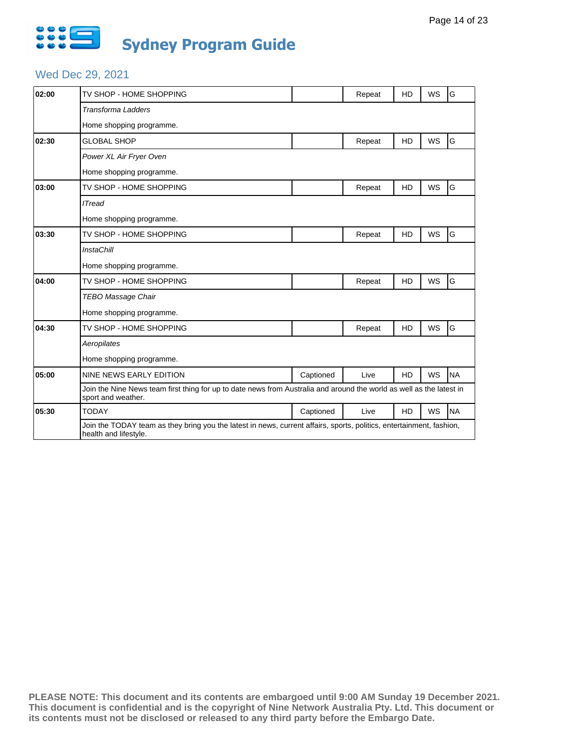

# Wed Dec 29, 2021

| 02:00 | TV SHOP - HOME SHOPPING                                                                                                                       |           | Repeat | HD             | WS        | G         |  |  |
|-------|-----------------------------------------------------------------------------------------------------------------------------------------------|-----------|--------|----------------|-----------|-----------|--|--|
|       | <b>Transforma Ladders</b>                                                                                                                     |           |        |                |           |           |  |  |
|       | Home shopping programme.                                                                                                                      |           |        |                |           |           |  |  |
| 02:30 | <b>GLOBAL SHOP</b>                                                                                                                            |           | Repeat | <b>HD</b>      | <b>WS</b> | G         |  |  |
|       | Power XL Air Fryer Oven                                                                                                                       |           |        |                |           |           |  |  |
|       | Home shopping programme.                                                                                                                      |           |        |                |           |           |  |  |
| 03:00 | TV SHOP - HOME SHOPPING                                                                                                                       |           | Repeat | <b>HD</b>      | <b>WS</b> | G         |  |  |
|       | <b>ITread</b>                                                                                                                                 |           |        |                |           |           |  |  |
|       | Home shopping programme.                                                                                                                      |           |        |                |           |           |  |  |
| 03:30 | TV SHOP - HOME SHOPPING                                                                                                                       |           | Repeat | HD             | WS        | G         |  |  |
|       | <b>InstaChill</b>                                                                                                                             |           |        |                |           |           |  |  |
|       | Home shopping programme.                                                                                                                      |           |        |                |           |           |  |  |
| 04:00 | TV SHOP - HOME SHOPPING                                                                                                                       |           | Repeat | <b>HD</b>      | WS        | G         |  |  |
|       | <b>TEBO Massage Chair</b>                                                                                                                     |           |        |                |           |           |  |  |
|       | Home shopping programme.                                                                                                                      |           |        |                |           |           |  |  |
| 04:30 | TV SHOP - HOME SHOPPING                                                                                                                       |           | Repeat | HD             | WS        | G         |  |  |
|       | Aeropilates                                                                                                                                   |           |        |                |           |           |  |  |
|       | Home shopping programme.                                                                                                                      |           |        |                |           |           |  |  |
| 05:00 | NINE NEWS EARLY EDITION                                                                                                                       | Captioned | Live   | <b>HD</b>      | WS        | <b>NA</b> |  |  |
|       | Join the Nine News team first thing for up to date news from Australia and around the world as well as the latest in<br>sport and weather.    |           |        |                |           |           |  |  |
| 05:30 | <b>TODAY</b>                                                                                                                                  | Captioned | Live   | H <sub>D</sub> | <b>WS</b> | <b>NA</b> |  |  |
|       | Join the TODAY team as they bring you the latest in news, current affairs, sports, politics, entertainment, fashion,<br>health and lifestyle. |           |        |                |           |           |  |  |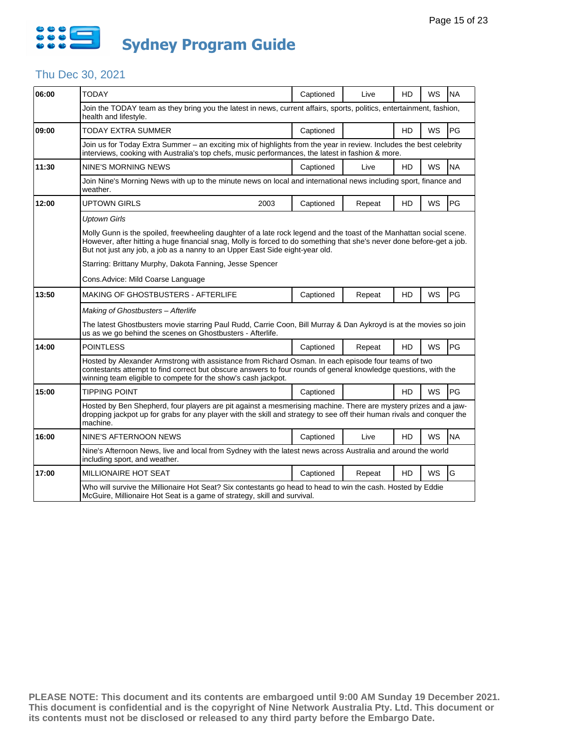

## Thu Dec 30, 2021

| 06:00 | <b>TODAY</b>                                                                                                                                                                                                                                                                                                                 | Captioned                                                                                                                                                                                                                                 | Live   | HD        | <b>WS</b> | <b>NA</b> |  |  |  |  |  |
|-------|------------------------------------------------------------------------------------------------------------------------------------------------------------------------------------------------------------------------------------------------------------------------------------------------------------------------------|-------------------------------------------------------------------------------------------------------------------------------------------------------------------------------------------------------------------------------------------|--------|-----------|-----------|-----------|--|--|--|--|--|
|       | Join the TODAY team as they bring you the latest in news, current affairs, sports, politics, entertainment, fashion,<br>health and lifestyle.                                                                                                                                                                                |                                                                                                                                                                                                                                           |        |           |           |           |  |  |  |  |  |
| 09:00 | TODAY EXTRA SUMMER                                                                                                                                                                                                                                                                                                           | Captioned                                                                                                                                                                                                                                 |        | HD        | WS        | PG        |  |  |  |  |  |
|       |                                                                                                                                                                                                                                                                                                                              | Join us for Today Extra Summer - an exciting mix of highlights from the year in review. Includes the best celebrity<br>interviews, cooking with Australia's top chefs, music performances, the latest in fashion & more.                  |        |           |           |           |  |  |  |  |  |
| 11:30 | <b>NINE'S MORNING NEWS</b>                                                                                                                                                                                                                                                                                                   | Captioned                                                                                                                                                                                                                                 | Live   | <b>HD</b> | WS        | <b>NA</b> |  |  |  |  |  |
|       | Join Nine's Morning News with up to the minute news on local and international news including sport, finance and<br>weather.                                                                                                                                                                                                 |                                                                                                                                                                                                                                           |        |           |           |           |  |  |  |  |  |
| 12:00 | UPTOWN GIRLS<br>2003                                                                                                                                                                                                                                                                                                         | Captioned                                                                                                                                                                                                                                 | Repeat | HD        | WS        | PG        |  |  |  |  |  |
|       | <b>Uptown Girls</b>                                                                                                                                                                                                                                                                                                          |                                                                                                                                                                                                                                           |        |           |           |           |  |  |  |  |  |
|       | Molly Gunn is the spoiled, freewheeling daughter of a late rock legend and the toast of the Manhattan social scene.<br>However, after hitting a huge financial snag, Molly is forced to do something that she's never done before-get a job.<br>But not just any job, a job as a nanny to an Upper East Side eight-year old. |                                                                                                                                                                                                                                           |        |           |           |           |  |  |  |  |  |
|       | Starring: Brittany Murphy, Dakota Fanning, Jesse Spencer                                                                                                                                                                                                                                                                     |                                                                                                                                                                                                                                           |        |           |           |           |  |  |  |  |  |
|       | Cons. Advice: Mild Coarse Language                                                                                                                                                                                                                                                                                           |                                                                                                                                                                                                                                           |        |           |           |           |  |  |  |  |  |
| 13:50 | MAKING OF GHOSTBUSTERS - AFTERLIFE                                                                                                                                                                                                                                                                                           | Captioned                                                                                                                                                                                                                                 | Repeat | HD        | <b>WS</b> | PG        |  |  |  |  |  |
|       | Making of Ghostbusters - Afterlife                                                                                                                                                                                                                                                                                           |                                                                                                                                                                                                                                           |        |           |           |           |  |  |  |  |  |
|       | The latest Ghostbusters movie starring Paul Rudd, Carrie Coon, Bill Murray & Dan Aykroyd is at the movies so join<br>us as we go behind the scenes on Ghostbusters - Afterlife.                                                                                                                                              |                                                                                                                                                                                                                                           |        |           |           |           |  |  |  |  |  |
| 14:00 | <b>POINTLESS</b>                                                                                                                                                                                                                                                                                                             | Captioned                                                                                                                                                                                                                                 | Repeat | HD        | <b>WS</b> | PG        |  |  |  |  |  |
|       | Hosted by Alexander Armstrong with assistance from Richard Osman. In each episode four teams of two<br>contestants attempt to find correct but obscure answers to four rounds of general knowledge questions, with the<br>winning team eligible to compete for the show's cash jackpot.                                      |                                                                                                                                                                                                                                           |        |           |           |           |  |  |  |  |  |
| 15:00 | <b>TIPPING POINT</b>                                                                                                                                                                                                                                                                                                         | Captioned                                                                                                                                                                                                                                 |        | HD        | WS        | PG        |  |  |  |  |  |
|       | machine.                                                                                                                                                                                                                                                                                                                     | Hosted by Ben Shepherd, four players are pit against a mesmerising machine. There are mystery prizes and a jaw-<br>dropping jackpot up for grabs for any player with the skill and strategy to see off their human rivals and conquer the |        |           |           |           |  |  |  |  |  |
| 16:00 | NINE'S AFTERNOON NEWS                                                                                                                                                                                                                                                                                                        | Captioned                                                                                                                                                                                                                                 | Live   | HD        | WS        | <b>NA</b> |  |  |  |  |  |
|       | Nine's Afternoon News, live and local from Sydney with the latest news across Australia and around the world<br>including sport, and weather.                                                                                                                                                                                |                                                                                                                                                                                                                                           |        |           |           |           |  |  |  |  |  |
| 17:00 | <b>MILLIONAIRE HOT SEAT</b>                                                                                                                                                                                                                                                                                                  | Captioned                                                                                                                                                                                                                                 | Repeat | HD        | <b>WS</b> | G         |  |  |  |  |  |
|       | Who will survive the Millionaire Hot Seat? Six contestants go head to head to win the cash. Hosted by Eddie<br>McGuire, Millionaire Hot Seat is a game of strategy, skill and survival.                                                                                                                                      |                                                                                                                                                                                                                                           |        |           |           |           |  |  |  |  |  |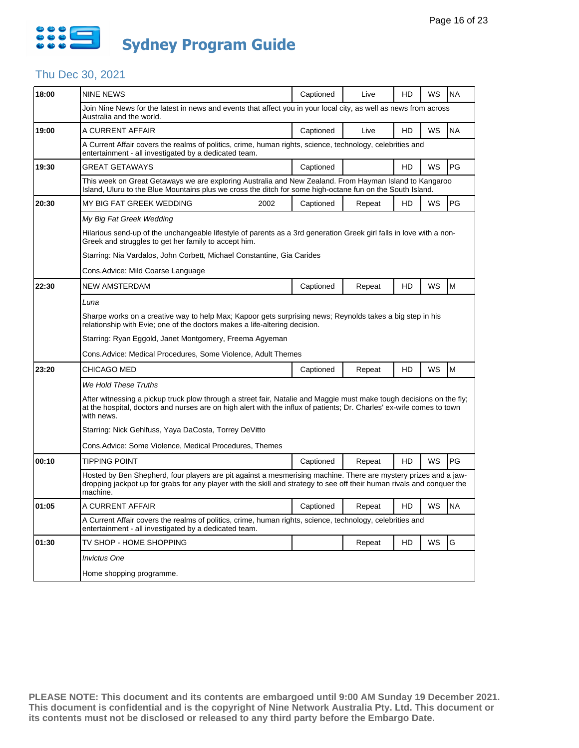

## Thu Dec 30, 2021

| 18:00 | <b>NINE NEWS</b>                                                                                                                                                                                                                                            |      | Captioned | Live   | HD | WS | <b>NA</b> |  |
|-------|-------------------------------------------------------------------------------------------------------------------------------------------------------------------------------------------------------------------------------------------------------------|------|-----------|--------|----|----|-----------|--|
|       | Join Nine News for the latest in news and events that affect you in your local city, as well as news from across<br>Australia and the world.                                                                                                                |      |           |        |    |    |           |  |
| 19:00 | A CURRENT AFFAIR                                                                                                                                                                                                                                            |      | Captioned | Live   | HD | WS | <b>NA</b> |  |
|       | A Current Affair covers the realms of politics, crime, human rights, science, technology, celebrities and<br>entertainment - all investigated by a dedicated team.                                                                                          |      |           |        |    |    |           |  |
| 19:30 | <b>GREAT GETAWAYS</b>                                                                                                                                                                                                                                       |      | Captioned |        | HD | WS | PG        |  |
|       | This week on Great Getaways we are exploring Australia and New Zealand. From Hayman Island to Kangaroo<br>Island, Uluru to the Blue Mountains plus we cross the ditch for some high-octane fun on the South Island.                                         |      |           |        |    |    |           |  |
| 20:30 | MY BIG FAT GREEK WEDDING                                                                                                                                                                                                                                    | 2002 | Captioned | Repeat | HD | WS | PG        |  |
|       | My Big Fat Greek Wedding                                                                                                                                                                                                                                    |      |           |        |    |    |           |  |
|       | Hilarious send-up of the unchangeable lifestyle of parents as a 3rd generation Greek girl falls in love with a non-<br>Greek and struggles to get her family to accept him.                                                                                 |      |           |        |    |    |           |  |
|       | Starring: Nia Vardalos, John Corbett, Michael Constantine, Gia Carides                                                                                                                                                                                      |      |           |        |    |    |           |  |
|       | Cons. Advice: Mild Coarse Language                                                                                                                                                                                                                          |      |           |        |    |    |           |  |
| 22:30 | <b>NEW AMSTERDAM</b>                                                                                                                                                                                                                                        |      | Captioned | Repeat | HD | WS | M         |  |
|       | Luna                                                                                                                                                                                                                                                        |      |           |        |    |    |           |  |
|       | Sharpe works on a creative way to help Max; Kapoor gets surprising news; Reynolds takes a big step in his<br>relationship with Evie; one of the doctors makes a life-altering decision.                                                                     |      |           |        |    |    |           |  |
|       | Starring: Ryan Eggold, Janet Montgomery, Freema Agyeman                                                                                                                                                                                                     |      |           |        |    |    |           |  |
|       | Cons. Advice: Medical Procedures, Some Violence, Adult Themes                                                                                                                                                                                               |      |           |        |    |    |           |  |
| 23:20 | CHICAGO MED                                                                                                                                                                                                                                                 |      | Captioned | Repeat | HD | WS | M         |  |
|       | We Hold These Truths                                                                                                                                                                                                                                        |      |           |        |    |    |           |  |
|       | After witnessing a pickup truck plow through a street fair, Natalie and Maggie must make tough decisions on the fly;<br>at the hospital, doctors and nurses are on high alert with the influx of patients; Dr. Charles' ex-wife comes to town<br>with news. |      |           |        |    |    |           |  |
|       | Starring: Nick Gehlfuss, Yaya DaCosta, Torrey DeVitto                                                                                                                                                                                                       |      |           |        |    |    |           |  |
|       | Cons.Advice: Some Violence, Medical Procedures, Themes                                                                                                                                                                                                      |      |           |        |    |    |           |  |
| 00:10 | TIPPING POINT                                                                                                                                                                                                                                               |      | Captioned | Repeat | HD | WS | PG        |  |
|       | Hosted by Ben Shepherd, four players are pit against a mesmerising machine. There are mystery prizes and a jaw-<br>dropping jackpot up for grabs for any player with the skill and strategy to see off their human rivals and conquer the<br>machine.       |      |           |        |    |    |           |  |
| 01:05 | A CURRENT AFFAIR                                                                                                                                                                                                                                            |      | Captioned | Repeat | HD | WS | <b>NA</b> |  |
|       | A Current Affair covers the realms of politics, crime, human rights, science, technology, celebrities and<br>entertainment - all investigated by a dedicated team.                                                                                          |      |           |        |    |    |           |  |
| 01:30 | TV SHOP - HOME SHOPPING                                                                                                                                                                                                                                     |      |           | Repeat | HD | WS | G         |  |
|       | <b>Invictus One</b>                                                                                                                                                                                                                                         |      |           |        |    |    |           |  |
|       | Home shopping programme.                                                                                                                                                                                                                                    |      |           |        |    |    |           |  |
|       |                                                                                                                                                                                                                                                             |      |           |        |    |    |           |  |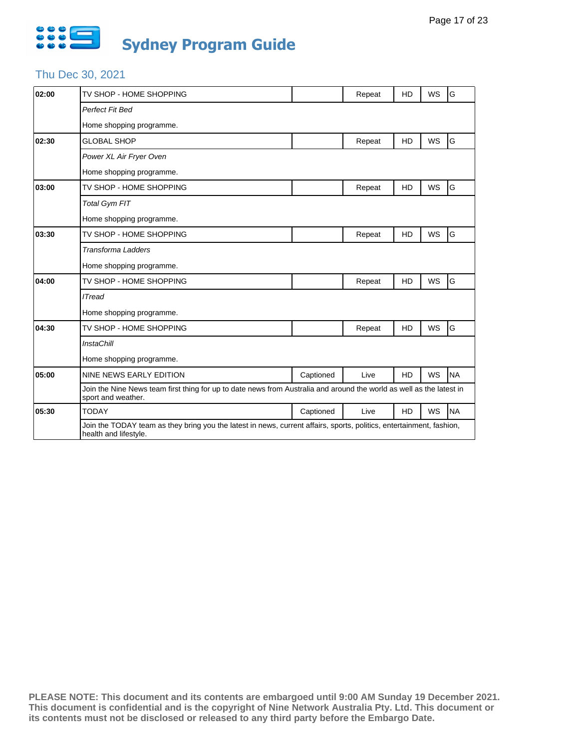

## Thu Dec 30, 2021

| 02:00 | TV SHOP - HOME SHOPPING                                                                                                                       |           | Repeat | HD             | WS        | G         |  |  |
|-------|-----------------------------------------------------------------------------------------------------------------------------------------------|-----------|--------|----------------|-----------|-----------|--|--|
|       | Perfect Fit Bed                                                                                                                               |           |        |                |           |           |  |  |
|       | Home shopping programme.                                                                                                                      |           |        |                |           |           |  |  |
| 02:30 | <b>GLOBAL SHOP</b>                                                                                                                            |           | Repeat | <b>HD</b>      | <b>WS</b> | G         |  |  |
|       | Power XL Air Fryer Oven                                                                                                                       |           |        |                |           |           |  |  |
|       | Home shopping programme.                                                                                                                      |           |        |                |           |           |  |  |
| 03:00 | TV SHOP - HOME SHOPPING                                                                                                                       |           | Repeat | <b>HD</b>      | <b>WS</b> | G         |  |  |
|       | <b>Total Gym FIT</b>                                                                                                                          |           |        |                |           |           |  |  |
|       | Home shopping programme.                                                                                                                      |           |        |                |           |           |  |  |
| 03:30 | TV SHOP - HOME SHOPPING                                                                                                                       |           | Repeat | HD             | WS        | G         |  |  |
|       | <b>Transforma Ladders</b>                                                                                                                     |           |        |                |           |           |  |  |
|       | Home shopping programme.                                                                                                                      |           |        |                |           |           |  |  |
| 04:00 | TV SHOP - HOME SHOPPING                                                                                                                       |           | Repeat | <b>HD</b>      | WS        | G         |  |  |
|       | <b>ITread</b>                                                                                                                                 |           |        |                |           |           |  |  |
|       | Home shopping programme.                                                                                                                      |           |        |                |           |           |  |  |
| 04:30 | TV SHOP - HOME SHOPPING                                                                                                                       |           | Repeat | HD             | WS        | G         |  |  |
|       | <b>InstaChill</b>                                                                                                                             |           |        |                |           |           |  |  |
|       | Home shopping programme.                                                                                                                      |           |        |                |           |           |  |  |
| 05:00 | NINE NEWS EARLY EDITION                                                                                                                       | Captioned | Live   | <b>HD</b>      | WS        | <b>NA</b> |  |  |
|       | Join the Nine News team first thing for up to date news from Australia and around the world as well as the latest in<br>sport and weather.    |           |        |                |           |           |  |  |
| 05:30 | <b>TODAY</b>                                                                                                                                  | Captioned | Live   | H <sub>D</sub> | <b>WS</b> | <b>NA</b> |  |  |
|       | Join the TODAY team as they bring you the latest in news, current affairs, sports, politics, entertainment, fashion,<br>health and lifestyle. |           |        |                |           |           |  |  |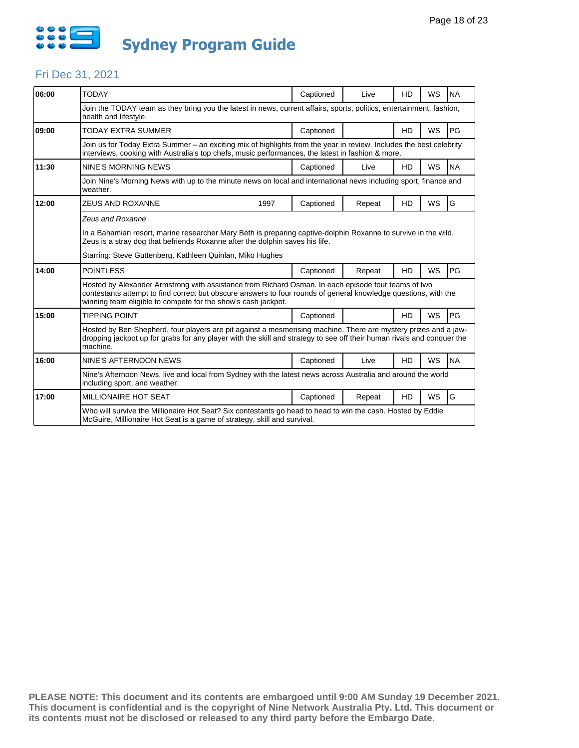

#### Fri Dec 31, 2021

| 06:00 | <b>TODAY</b>                                                                                                                                                                                                                                                                            |      | Captioned | Live   | HD | <b>WS</b> | <b>NA</b> |  |  |  |  |
|-------|-----------------------------------------------------------------------------------------------------------------------------------------------------------------------------------------------------------------------------------------------------------------------------------------|------|-----------|--------|----|-----------|-----------|--|--|--|--|
|       | Join the TODAY team as they bring you the latest in news, current affairs, sports, politics, entertainment, fashion,<br>health and lifestyle.                                                                                                                                           |      |           |        |    |           |           |  |  |  |  |
| 09:00 | <b>TODAY EXTRA SUMMER</b>                                                                                                                                                                                                                                                               |      | Captioned |        | HD | <b>WS</b> | PG        |  |  |  |  |
|       | Join us for Today Extra Summer – an exciting mix of highlights from the year in review. Includes the best celebrity<br>interviews, cooking with Australia's top chefs, music performances, the latest in fashion & more.                                                                |      |           |        |    |           |           |  |  |  |  |
| 11:30 | NINE'S MORNING NEWS                                                                                                                                                                                                                                                                     |      | Captioned | Live   | HD | <b>WS</b> | <b>NA</b> |  |  |  |  |
|       | Join Nine's Morning News with up to the minute news on local and international news including sport, finance and<br>weather.                                                                                                                                                            |      |           |        |    |           |           |  |  |  |  |
| 12:00 | <b>ZEUS AND ROXANNE</b>                                                                                                                                                                                                                                                                 | 1997 | Captioned | Repeat | HD | <b>WS</b> | G         |  |  |  |  |
|       | Zeus and Roxanne                                                                                                                                                                                                                                                                        |      |           |        |    |           |           |  |  |  |  |
|       | In a Bahamian resort, marine researcher Mary Beth is preparing captive-dolphin Roxanne to survive in the wild.<br>Zeus is a stray dog that befriends Roxanne after the dolphin saves his life.                                                                                          |      |           |        |    |           |           |  |  |  |  |
|       | Starring: Steve Guttenberg, Kathleen Quinlan, Miko Hughes                                                                                                                                                                                                                               |      |           |        |    |           |           |  |  |  |  |
| 14:00 | <b>POINTLESS</b>                                                                                                                                                                                                                                                                        |      | Captioned | Repeat | HD | <b>WS</b> | <b>PG</b> |  |  |  |  |
|       | Hosted by Alexander Armstrong with assistance from Richard Osman. In each episode four teams of two<br>contestants attempt to find correct but obscure answers to four rounds of general knowledge questions, with the<br>winning team eligible to compete for the show's cash jackpot. |      |           |        |    |           |           |  |  |  |  |
| 15:00 | <b>TIPPING POINT</b>                                                                                                                                                                                                                                                                    |      | Captioned |        | HD | <b>WS</b> | <b>PG</b> |  |  |  |  |
|       | Hosted by Ben Shepherd, four players are pit against a mesmerising machine. There are mystery prizes and a jaw-<br>dropping jackpot up for grabs for any player with the skill and strategy to see off their human rivals and conquer the<br>machine.                                   |      |           |        |    |           |           |  |  |  |  |
| 16:00 | NINE'S AFTERNOON NEWS                                                                                                                                                                                                                                                                   |      | Captioned | Live   | HD | <b>WS</b> | <b>NA</b> |  |  |  |  |
|       | Nine's Afternoon News, live and local from Sydney with the latest news across Australia and around the world<br>including sport, and weather.                                                                                                                                           |      |           |        |    |           |           |  |  |  |  |
| 17:00 | <b>MILLIONAIRE HOT SEAT</b>                                                                                                                                                                                                                                                             |      | Captioned | Repeat | HD | <b>WS</b> | G         |  |  |  |  |
|       | Who will survive the Millionaire Hot Seat? Six contestants go head to head to win the cash. Hosted by Eddie<br>McGuire, Millionaire Hot Seat is a game of strategy, skill and survival.                                                                                                 |      |           |        |    |           |           |  |  |  |  |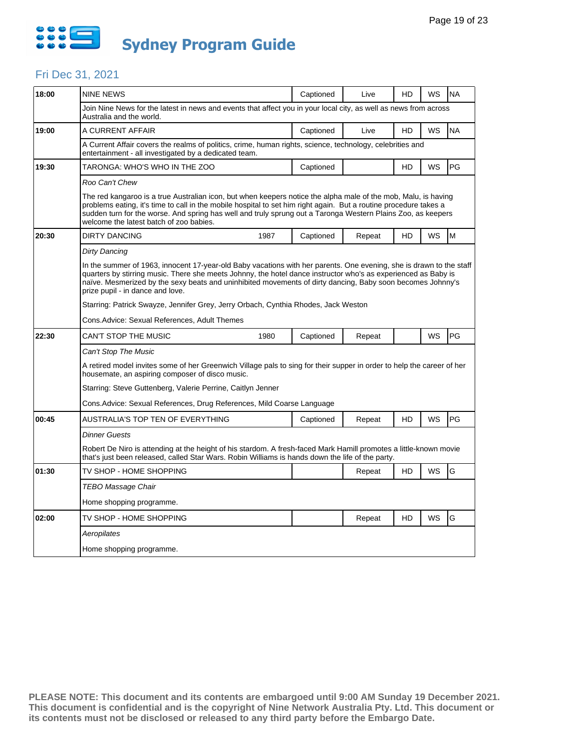

### Fri Dec 31, 2021

| 18:00 | <b>NINE NEWS</b>                                                                                                                                                                                                                                                                                                                                                                               |      | Captioned | Live   | HD | WS | <b>NA</b> |  |  |  |  |  |
|-------|------------------------------------------------------------------------------------------------------------------------------------------------------------------------------------------------------------------------------------------------------------------------------------------------------------------------------------------------------------------------------------------------|------|-----------|--------|----|----|-----------|--|--|--|--|--|
|       | Join Nine News for the latest in news and events that affect you in your local city, as well as news from across<br>Australia and the world.                                                                                                                                                                                                                                                   |      |           |        |    |    |           |  |  |  |  |  |
| 19:00 | A CURRENT AFFAIR                                                                                                                                                                                                                                                                                                                                                                               |      | Captioned | Live   | HD | WS | <b>NA</b> |  |  |  |  |  |
|       | A Current Affair covers the realms of politics, crime, human rights, science, technology, celebrities and<br>entertainment - all investigated by a dedicated team.                                                                                                                                                                                                                             |      |           |        |    |    |           |  |  |  |  |  |
| 19:30 | TARONGA: WHO'S WHO IN THE ZOO                                                                                                                                                                                                                                                                                                                                                                  |      | Captioned |        | HD | WS | PG        |  |  |  |  |  |
|       | Roo Can't Chew                                                                                                                                                                                                                                                                                                                                                                                 |      |           |        |    |    |           |  |  |  |  |  |
|       | The red kangaroo is a true Australian icon, but when keepers notice the alpha male of the mob, Malu, is having<br>problems eating, it's time to call in the mobile hospital to set him right again. But a routine procedure takes a<br>sudden turn for the worse. And spring has well and truly sprung out a Taronga Western Plains Zoo, as keepers<br>welcome the latest batch of zoo babies. |      |           |        |    |    |           |  |  |  |  |  |
| 20:30 | <b>DIRTY DANCING</b>                                                                                                                                                                                                                                                                                                                                                                           | 1987 | Captioned | Repeat | HD | WS | M         |  |  |  |  |  |
|       | Dirty Dancing                                                                                                                                                                                                                                                                                                                                                                                  |      |           |        |    |    |           |  |  |  |  |  |
|       | In the summer of 1963, innocent 17-year-old Baby vacations with her parents. One evening, she is drawn to the staff<br>quarters by stirring music. There she meets Johnny, the hotel dance instructor who's as experienced as Baby is<br>naïve. Mesmerized by the sexy beats and uninhibited movements of dirty dancing, Baby soon becomes Johnny's<br>prize pupil - in dance and love.        |      |           |        |    |    |           |  |  |  |  |  |
|       | Starring: Patrick Swayze, Jennifer Grey, Jerry Orbach, Cynthia Rhodes, Jack Weston                                                                                                                                                                                                                                                                                                             |      |           |        |    |    |           |  |  |  |  |  |
|       | Cons. Advice: Sexual References, Adult Themes                                                                                                                                                                                                                                                                                                                                                  |      |           |        |    |    |           |  |  |  |  |  |
| 22:30 | CAN'T STOP THE MUSIC                                                                                                                                                                                                                                                                                                                                                                           | 1980 | Captioned | Repeat |    | WS | PG        |  |  |  |  |  |
|       | Can't Stop The Music                                                                                                                                                                                                                                                                                                                                                                           |      |           |        |    |    |           |  |  |  |  |  |
|       | A retired model invites some of her Greenwich Village pals to sing for their supper in order to help the career of her<br>housemate, an aspiring composer of disco music.                                                                                                                                                                                                                      |      |           |        |    |    |           |  |  |  |  |  |
|       | Starring: Steve Guttenberg, Valerie Perrine, Caitlyn Jenner                                                                                                                                                                                                                                                                                                                                    |      |           |        |    |    |           |  |  |  |  |  |
|       | Cons. Advice: Sexual References, Drug References, Mild Coarse Language                                                                                                                                                                                                                                                                                                                         |      |           |        |    |    |           |  |  |  |  |  |
| 00:45 | AUSTRALIA'S TOP TEN OF EVERYTHING                                                                                                                                                                                                                                                                                                                                                              |      | Captioned | Repeat | HD | WS | PG        |  |  |  |  |  |
|       | <b>Dinner Guests</b>                                                                                                                                                                                                                                                                                                                                                                           |      |           |        |    |    |           |  |  |  |  |  |
|       | Robert De Niro is attending at the height of his stardom. A fresh-faced Mark Hamill promotes a little-known movie<br>that's just been released, called Star Wars. Robin Williams is hands down the life of the party.                                                                                                                                                                          |      |           |        |    |    |           |  |  |  |  |  |
| 01:30 | TV SHOP - HOME SHOPPING                                                                                                                                                                                                                                                                                                                                                                        |      |           | Repeat | HD | WS | G         |  |  |  |  |  |
|       | TEBO Massage Chair                                                                                                                                                                                                                                                                                                                                                                             |      |           |        |    |    |           |  |  |  |  |  |
|       | Home shopping programme.                                                                                                                                                                                                                                                                                                                                                                       |      |           |        |    |    |           |  |  |  |  |  |
| 02:00 | TV SHOP - HOME SHOPPING                                                                                                                                                                                                                                                                                                                                                                        |      |           | Repeat | HD | WS | G         |  |  |  |  |  |
|       | Aeropilates                                                                                                                                                                                                                                                                                                                                                                                    |      |           |        |    |    |           |  |  |  |  |  |
|       | Home shopping programme.                                                                                                                                                                                                                                                                                                                                                                       |      |           |        |    |    |           |  |  |  |  |  |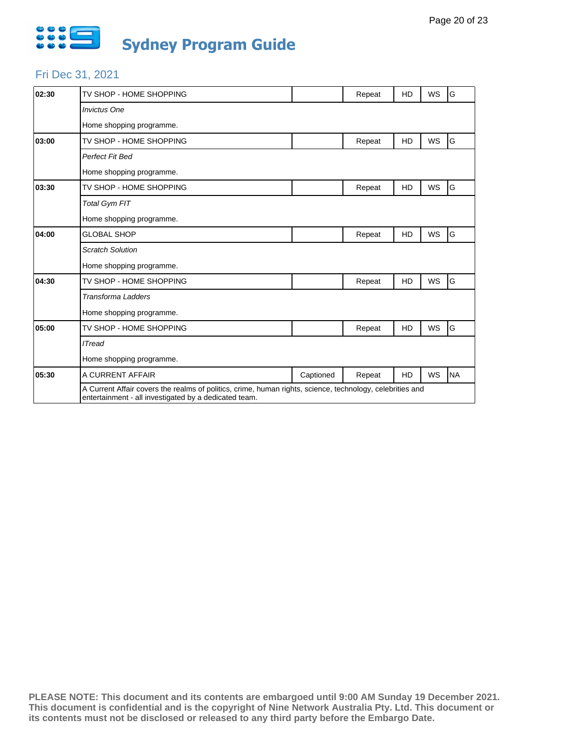

### Fri Dec 31, 2021

| 02:30 | TV SHOP - HOME SHOPPING                                                                                                                                            |           | Repeat | <b>HD</b> | <b>WS</b> | G         |  |  |
|-------|--------------------------------------------------------------------------------------------------------------------------------------------------------------------|-----------|--------|-----------|-----------|-----------|--|--|
|       | <b>Invictus One</b>                                                                                                                                                |           |        |           |           |           |  |  |
|       | Home shopping programme.                                                                                                                                           |           |        |           |           |           |  |  |
| 03:00 | TV SHOP - HOME SHOPPING                                                                                                                                            |           | Repeat | <b>HD</b> | WS        | G         |  |  |
|       | Perfect Fit Bed                                                                                                                                                    |           |        |           |           |           |  |  |
|       | Home shopping programme.                                                                                                                                           |           |        |           |           |           |  |  |
| 03:30 | TV SHOP - HOME SHOPPING                                                                                                                                            |           | Repeat | HD        | WS        | G         |  |  |
|       | <b>Total Gym FIT</b>                                                                                                                                               |           |        |           |           |           |  |  |
|       | Home shopping programme.                                                                                                                                           |           |        |           |           |           |  |  |
| 04:00 | <b>GLOBAL SHOP</b>                                                                                                                                                 |           | Repeat | <b>HD</b> | WS        | G         |  |  |
|       | <b>Scratch Solution</b>                                                                                                                                            |           |        |           |           |           |  |  |
|       | Home shopping programme.                                                                                                                                           |           |        |           |           |           |  |  |
| 04:30 | TV SHOP - HOME SHOPPING                                                                                                                                            |           | Repeat | <b>HD</b> | <b>WS</b> | G         |  |  |
|       | <b>Transforma Ladders</b>                                                                                                                                          |           |        |           |           |           |  |  |
|       | Home shopping programme.                                                                                                                                           |           |        |           |           |           |  |  |
| 05:00 | TV SHOP - HOME SHOPPING                                                                                                                                            |           | Repeat | HD        | WS        | G         |  |  |
|       | <b>ITread</b>                                                                                                                                                      |           |        |           |           |           |  |  |
|       | Home shopping programme.                                                                                                                                           |           |        |           |           |           |  |  |
| 05:30 | A CURRENT AFFAIR                                                                                                                                                   | Captioned | Repeat | <b>HD</b> | <b>WS</b> | <b>NA</b> |  |  |
|       | A Current Affair covers the realms of politics, crime, human rights, science, technology, celebrities and<br>entertainment - all investigated by a dedicated team. |           |        |           |           |           |  |  |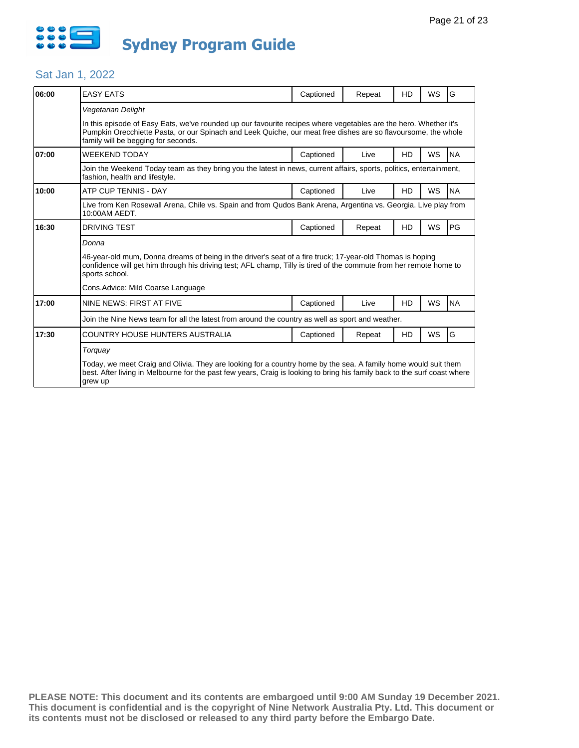

### Sat Jan 1, 2022

| 06:00 | <b>EASY EATS</b>                                                                                                                                                                                                                                                         | Captioned | Repeat | HD        | WS        | G         |  |  |  |  |  |  |
|-------|--------------------------------------------------------------------------------------------------------------------------------------------------------------------------------------------------------------------------------------------------------------------------|-----------|--------|-----------|-----------|-----------|--|--|--|--|--|--|
|       | Vegetarian Delight                                                                                                                                                                                                                                                       |           |        |           |           |           |  |  |  |  |  |  |
|       | In this episode of Easy Eats, we've rounded up our favourite recipes where vegetables are the hero. Whether it's<br>Pumpkin Orecchiette Pasta, or our Spinach and Leek Quiche, our meat free dishes are so flavoursome, the whole<br>family will be begging for seconds. |           |        |           |           |           |  |  |  |  |  |  |
| 07:00 | <b>WEEKEND TODAY</b>                                                                                                                                                                                                                                                     | Captioned | Live   | <b>HD</b> | WS        | <b>NA</b> |  |  |  |  |  |  |
|       | Join the Weekend Today team as they bring you the latest in news, current affairs, sports, politics, entertainment,<br>fashion, health and lifestyle.                                                                                                                    |           |        |           |           |           |  |  |  |  |  |  |
| 10:00 | ATP CUP TENNIS - DAY                                                                                                                                                                                                                                                     | Captioned | Live   | HD        | WS        | <b>NA</b> |  |  |  |  |  |  |
|       | Live from Ken Rosewall Arena, Chile vs. Spain and from Qudos Bank Arena, Argentina vs. Georgia. Live play from<br>10:00AM AEDT.                                                                                                                                          |           |        |           |           |           |  |  |  |  |  |  |
| 16:30 | <b>DRIVING TEST</b>                                                                                                                                                                                                                                                      | Captioned | Repeat | <b>HD</b> | WS        | PG        |  |  |  |  |  |  |
|       | Donna                                                                                                                                                                                                                                                                    |           |        |           |           |           |  |  |  |  |  |  |
|       | 46-year-old mum, Donna dreams of being in the driver's seat of a fire truck; 17-year-old Thomas is hoping<br>confidence will get him through his driving test; AFL champ, Tilly is tired of the commute from her remote home to<br>sports school.                        |           |        |           |           |           |  |  |  |  |  |  |
|       | Cons. Advice: Mild Coarse Language                                                                                                                                                                                                                                       |           |        |           |           |           |  |  |  |  |  |  |
| 17:00 | NINE NEWS: FIRST AT FIVE                                                                                                                                                                                                                                                 | Captioned | Live   | HD        | WS        | <b>NA</b> |  |  |  |  |  |  |
|       | Join the Nine News team for all the latest from around the country as well as sport and weather.                                                                                                                                                                         |           |        |           |           |           |  |  |  |  |  |  |
| 17:30 | COUNTRY HOUSE HUNTERS AUSTRALIA                                                                                                                                                                                                                                          | Captioned | Repeat | HD        | <b>WS</b> | G         |  |  |  |  |  |  |
|       | Torquay                                                                                                                                                                                                                                                                  |           |        |           |           |           |  |  |  |  |  |  |
|       | Today, we meet Craig and Olivia. They are looking for a country home by the sea. A family home would suit them<br>best. After living in Melbourne for the past few years, Craig is looking to bring his family back to the surf coast where<br>grew up                   |           |        |           |           |           |  |  |  |  |  |  |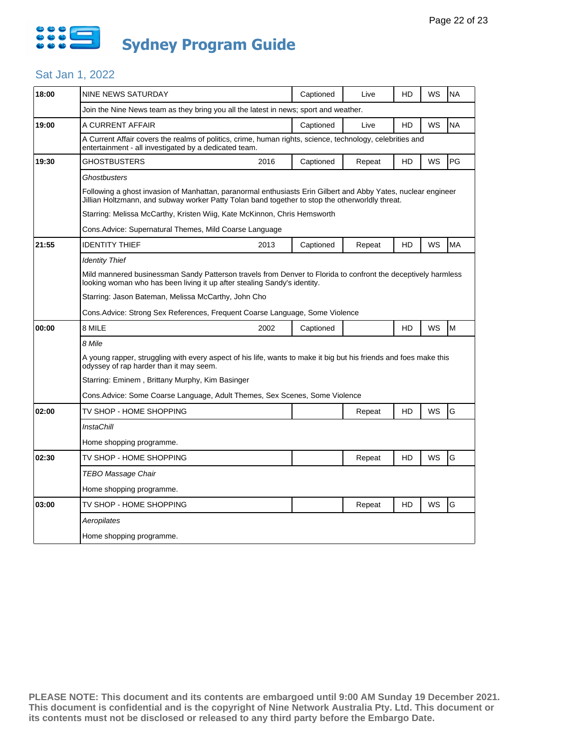

### Sat Jan 1, 2022

| 18:00 | NINE NEWS SATURDAY                                                                                                                                                                                               |                                                     | Captioned | Live   | HD | WS | <b>NA</b> |  |  |
|-------|------------------------------------------------------------------------------------------------------------------------------------------------------------------------------------------------------------------|-----------------------------------------------------|-----------|--------|----|----|-----------|--|--|
|       | Join the Nine News team as they bring you all the latest in news; sport and weather.                                                                                                                             |                                                     |           |        |    |    |           |  |  |
| 19:00 | A CURRENT AFFAIR                                                                                                                                                                                                 |                                                     | Captioned | Live   | HD | WS | <b>NA</b> |  |  |
|       | A Current Affair covers the realms of politics, crime, human rights, science, technology, celebrities and<br>entertainment - all investigated by a dedicated team.                                               |                                                     |           |        |    |    |           |  |  |
| 19:30 | GHOSTBUSTERS                                                                                                                                                                                                     | 2016                                                | Captioned | Repeat | HD | WS | <b>PG</b> |  |  |
|       | Ghostbusters                                                                                                                                                                                                     |                                                     |           |        |    |    |           |  |  |
|       | Following a ghost invasion of Manhattan, paranormal enthusiasts Erin Gilbert and Abby Yates, nuclear engineer<br>Jillian Holtzmann, and subway worker Patty Tolan band together to stop the otherworldly threat. |                                                     |           |        |    |    |           |  |  |
|       | Starring: Melissa McCarthy, Kristen Wiig, Kate McKinnon, Chris Hemsworth                                                                                                                                         |                                                     |           |        |    |    |           |  |  |
|       | Cons.Advice: Supernatural Themes, Mild Coarse Language                                                                                                                                                           |                                                     |           |        |    |    |           |  |  |
| 21:55 | <b>IDENTITY THIEF</b>                                                                                                                                                                                            | 2013                                                | Captioned | Repeat | HD | WS | <b>MA</b> |  |  |
|       | Identity Thief                                                                                                                                                                                                   |                                                     |           |        |    |    |           |  |  |
|       | Mild mannered businessman Sandy Patterson travels from Denver to Florida to confront the deceptively harmless<br>looking woman who has been living it up after stealing Sandy's identity.                        |                                                     |           |        |    |    |           |  |  |
|       |                                                                                                                                                                                                                  | Starring: Jason Bateman, Melissa McCarthy, John Cho |           |        |    |    |           |  |  |
|       | Cons.Advice: Strong Sex References, Frequent Coarse Language, Some Violence                                                                                                                                      |                                                     |           |        |    |    |           |  |  |
| 00:00 | 8 MILE                                                                                                                                                                                                           | 2002                                                | Captioned |        | HD | WS | Iм        |  |  |
|       | 8 Mile                                                                                                                                                                                                           |                                                     |           |        |    |    |           |  |  |
|       | A young rapper, struggling with every aspect of his life, wants to make it big but his friends and foes make this<br>odyssey of rap harder than it may seem.                                                     |                                                     |           |        |    |    |           |  |  |
|       | Starring: Eminem, Brittany Murphy, Kim Basinger                                                                                                                                                                  |                                                     |           |        |    |    |           |  |  |
|       | Cons.Advice: Some Coarse Language, Adult Themes, Sex Scenes, Some Violence                                                                                                                                       |                                                     |           |        |    |    |           |  |  |
| 02:00 | TV SHOP - HOME SHOPPING                                                                                                                                                                                          |                                                     |           | Repeat | HD | WS | G         |  |  |
|       | InstaChill                                                                                                                                                                                                       |                                                     |           |        |    |    |           |  |  |
|       | Home shopping programme.                                                                                                                                                                                         |                                                     |           |        |    |    |           |  |  |
| 02:30 | TV SHOP - HOME SHOPPING                                                                                                                                                                                          |                                                     |           | Repeat | HD | WS | G         |  |  |
|       | TEBO Massage Chair                                                                                                                                                                                               |                                                     |           |        |    |    |           |  |  |
|       | Home shopping programme.                                                                                                                                                                                         |                                                     |           |        |    |    |           |  |  |
| 03:00 | TV SHOP - HOME SHOPPING                                                                                                                                                                                          |                                                     |           | Repeat | HD | WS | G         |  |  |
|       | Aeropilates                                                                                                                                                                                                      |                                                     |           |        |    |    |           |  |  |
|       | Home shopping programme.                                                                                                                                                                                         |                                                     |           |        |    |    |           |  |  |
|       |                                                                                                                                                                                                                  |                                                     |           |        |    |    |           |  |  |